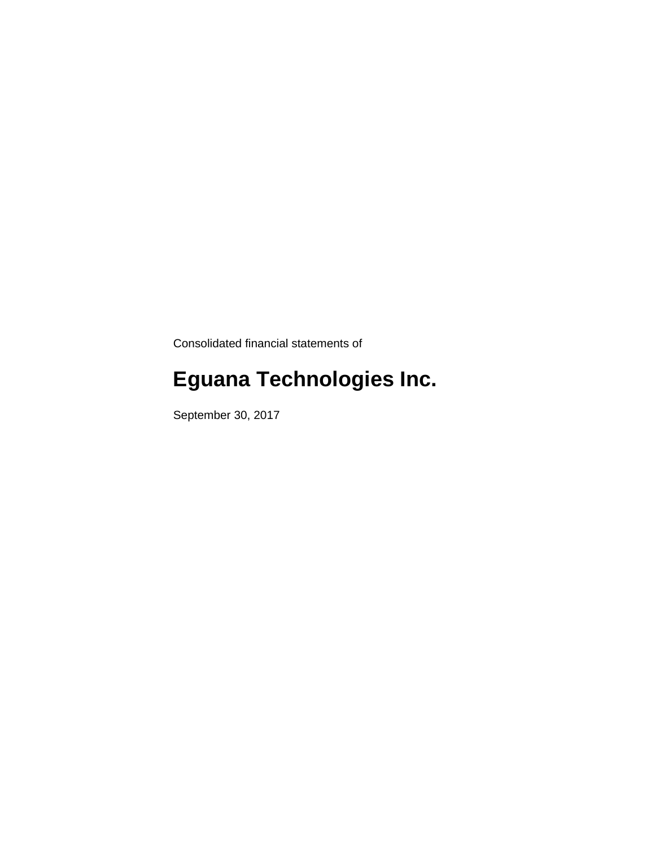Consolidated financial statements of

# **Eguana Technologies Inc.**

September 30, 2017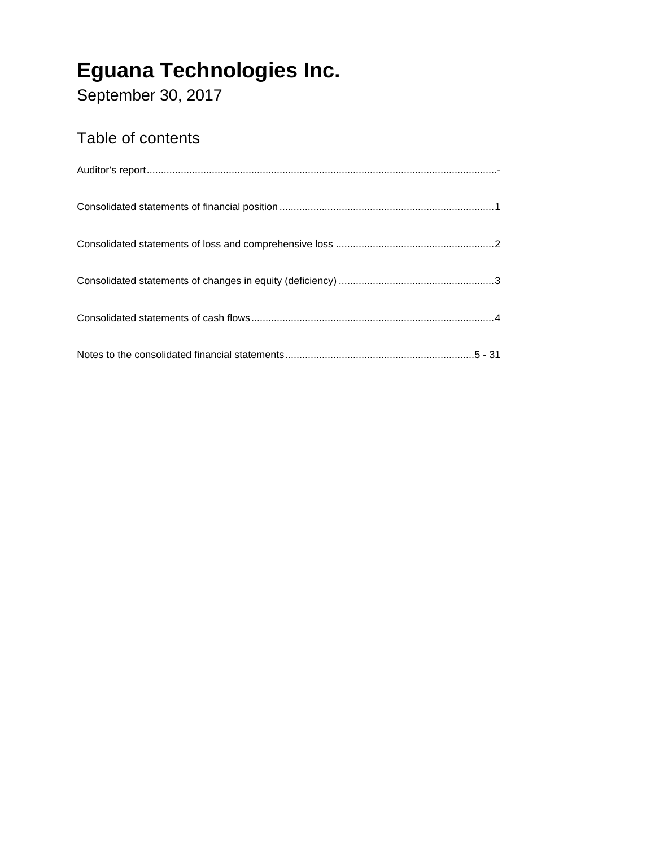September 30, 2017

### Table of contents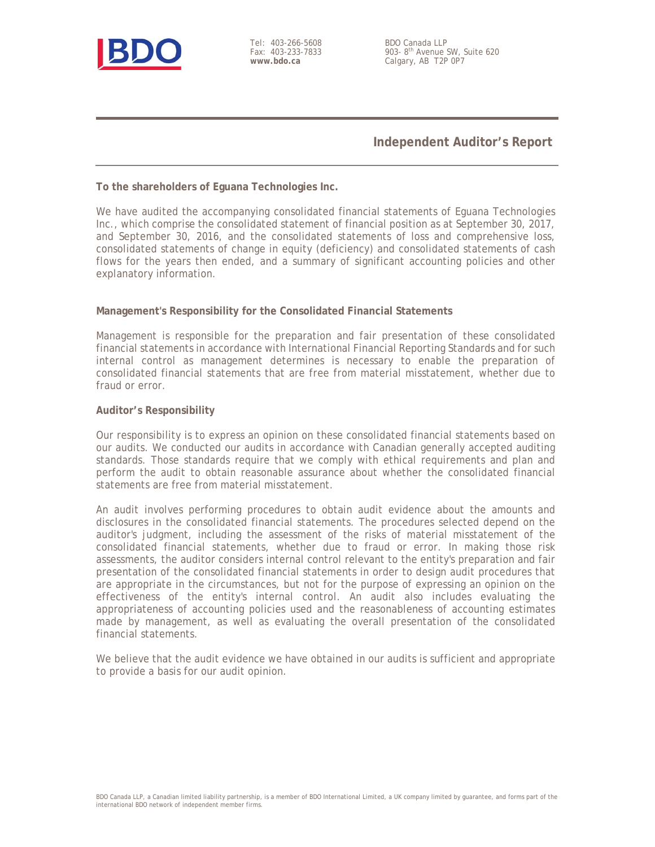

Tel: 403-266-5608 Fax: 403-233-7833 **www.bdo.ca** 

BDO Canada LLP 903- 8th Avenue SW, Suite 620 Calgary, AB T2P 0P7

**Independent Auditor's Report**

#### **To the shareholders of Eguana Technologies Inc.**

We have audited the accompanying consolidated financial statements of Eguana Technologies Inc., which comprise the consolidated statement of financial position as at September 30, 2017, and September 30, 2016, and the consolidated statements of loss and comprehensive loss, consolidated statements of change in equity (deficiency) and consolidated statements of cash flows for the years then ended, and a summary of significant accounting policies and other explanatory information.

### **Management's Responsibility for the Consolidated Financial Statements**

Management is responsible for the preparation and fair presentation of these consolidated financial statements in accordance with International Financial Reporting Standards and for such internal control as management determines is necessary to enable the preparation of consolidated financial statements that are free from material misstatement, whether due to fraud or error.

#### **Auditor's Responsibility**

Our responsibility is to express an opinion on these consolidated financial statements based on our audits. We conducted our audits in accordance with Canadian generally accepted auditing standards. Those standards require that we comply with ethical requirements and plan and perform the audit to obtain reasonable assurance about whether the consolidated financial statements are free from material misstatement.

An audit involves performing procedures to obtain audit evidence about the amounts and disclosures in the consolidated financial statements. The procedures selected depend on the auditor's judgment, including the assessment of the risks of material misstatement of the consolidated financial statements, whether due to fraud or error. In making those risk assessments, the auditor considers internal control relevant to the entity's preparation and fair presentation of the consolidated financial statements in order to design audit procedures that are appropriate in the circumstances, but not for the purpose of expressing an opinion on the effectiveness of the entity's internal control. An audit also includes evaluating the appropriateness of accounting policies used and the reasonableness of accounting estimates made by management, as well as evaluating the overall presentation of the consolidated financial statements.

We believe that the audit evidence we have obtained in our audits is sufficient and appropriate to provide a basis for our audit opinion.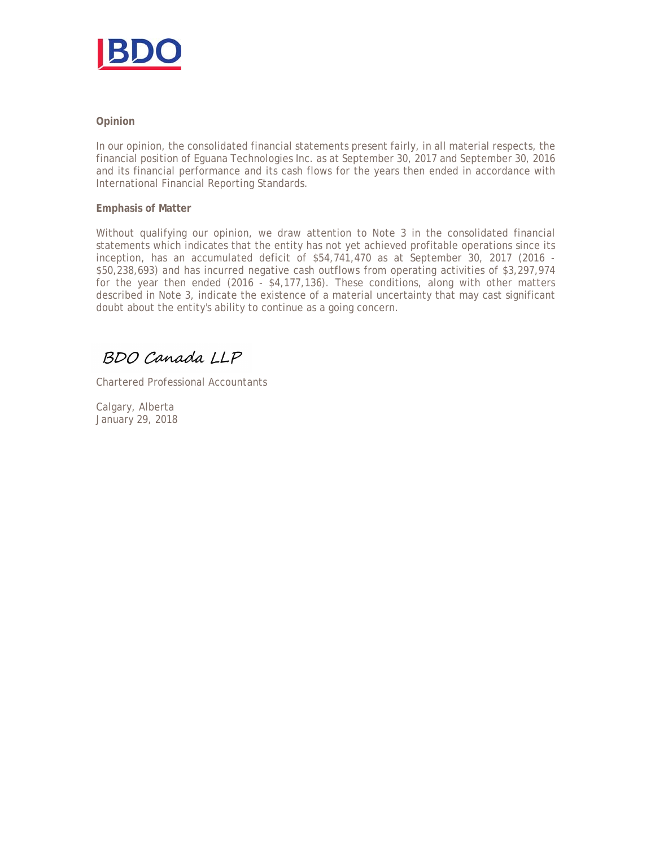

### **Opinion**

In our opinion, the consolidated financial statements present fairly, in all material respects, the financial position of Eguana Technologies Inc. as at September 30, 2017 and September 30, 2016 and its financial performance and its cash flows for the years then ended in accordance with International Financial Reporting Standards.

#### **Emphasis of Matter**

Without qualifying our opinion, we draw attention to Note 3 in the consolidated financial statements which indicates that the entity has not yet achieved profitable operations since its inception, has an accumulated deficit of \$54,741,470 as at September 30, 2017 (2016 - \$50,238,693) and has incurred negative cash outflows from operating activities of \$3,297,974 for the year then ended (2016 -  $$4,177,136$ ). These conditions, along with other matters described in Note 3, indicate the existence of a material uncertainty that may cast significant doubt about the entity's ability to continue as a going concern.

BDO Canada LLP

Chartered Professional Accountants

Calgary, Alberta January 29, 2018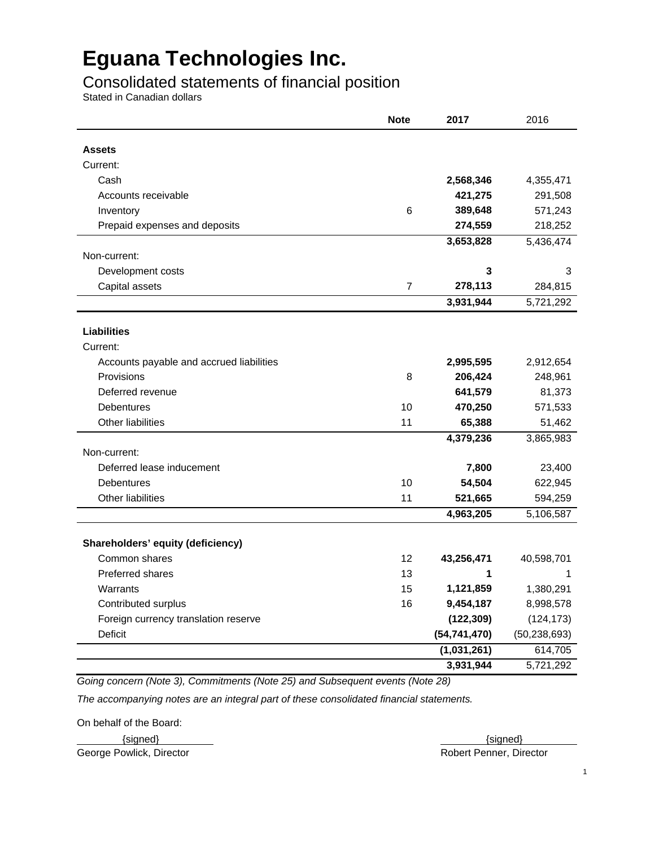### Consolidated statements of financial position

Stated in Canadian dollars

|                                          | <b>Note</b>    | 2017           | 2016           |
|------------------------------------------|----------------|----------------|----------------|
| <b>Assets</b>                            |                |                |                |
| Current:                                 |                |                |                |
| Cash                                     |                | 2,568,346      | 4,355,471      |
| Accounts receivable                      |                | 421,275        | 291,508        |
| Inventory                                | 6              | 389,648        | 571,243        |
| Prepaid expenses and deposits            |                | 274,559        | 218,252        |
|                                          |                | 3,653,828      | 5,436,474      |
| Non-current:                             |                |                |                |
| Development costs                        |                | 3              | 3              |
| Capital assets                           | $\overline{7}$ | 278,113        | 284,815        |
|                                          |                | 3,931,944      | 5,721,292      |
| <b>Liabilities</b>                       |                |                |                |
| Current:                                 |                |                |                |
| Accounts payable and accrued liabilities |                | 2,995,595      | 2,912,654      |
| Provisions                               | 8              | 206,424        | 248,961        |
| Deferred revenue                         |                | 641,579        | 81,373         |
| Debentures                               | 10             | 470,250        | 571,533        |
| Other liabilities                        | 11             | 65,388         | 51,462         |
|                                          |                | 4,379,236      | 3,865,983      |
| Non-current:                             |                |                |                |
| Deferred lease inducement                |                | 7,800          | 23,400         |
| Debentures                               | 10             | 54,504         | 622,945        |
| Other liabilities                        | 11             | 521,665        | 594,259        |
|                                          |                | 4,963,205      | 5,106,587      |
| Shareholders' equity (deficiency)        |                |                |                |
| Common shares                            | 12             | 43,256,471     | 40,598,701     |
| Preferred shares                         | 13             | 1              | 1              |
| Warrants                                 | 15             | 1,121,859      | 1,380,291      |
| Contributed surplus                      | 16             | 9,454,187      | 8,998,578      |
| Foreign currency translation reserve     |                | (122, 309)     | (124, 173)     |
| Deficit                                  |                | (54, 741, 470) | (50, 238, 693) |
|                                          |                | (1,031,261)    | 614,705        |
|                                          |                | 3,931,944      | 5,721,292      |

*Going concern (Note 3), Commitments (Note 25) and Subsequent events (Note 28)* 

*The accompanying notes are an integral part of these consolidated financial statements.* 

On behalf of the Board:

George Powlick, Director **Robert Penner, Director** Robert Penner, Director

 $\{signed\}$   $\{\text{signed}\}$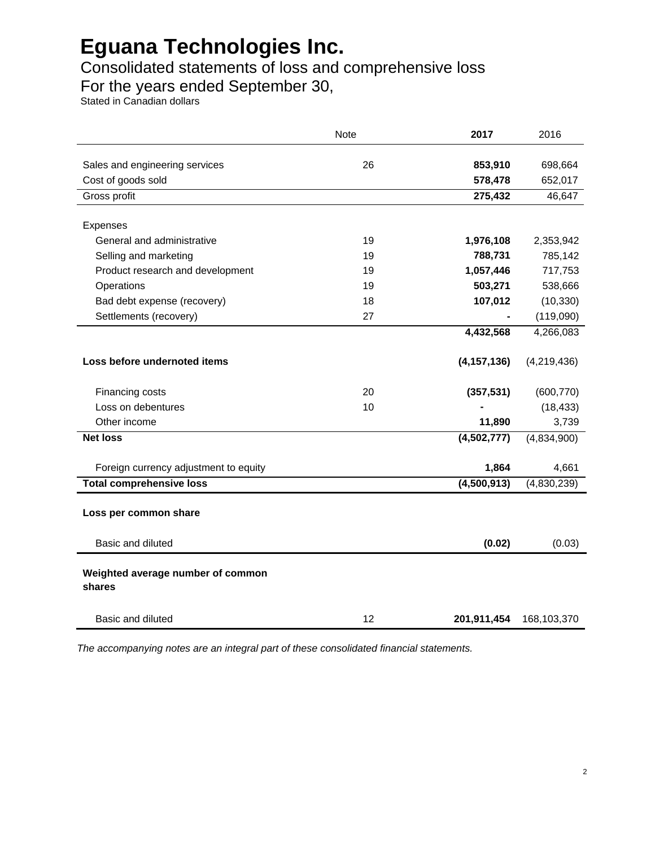### Consolidated statements of loss and comprehensive loss

For the years ended September 30,

Stated in Canadian dollars

|                                             | Note | 2017          | 2016        |
|---------------------------------------------|------|---------------|-------------|
| Sales and engineering services              | 26   | 853,910       | 698,664     |
| Cost of goods sold                          |      | 578,478       | 652,017     |
| Gross profit                                |      | 275,432       | 46,647      |
| Expenses                                    |      |               |             |
| General and administrative                  | 19   | 1,976,108     | 2,353,942   |
| Selling and marketing                       | 19   | 788,731       | 785,142     |
| Product research and development            | 19   | 1,057,446     | 717,753     |
| Operations                                  | 19   | 503,271       | 538,666     |
| Bad debt expense (recovery)                 | 18   | 107,012       | (10, 330)   |
| Settlements (recovery)                      | 27   | ۰             | (119,090)   |
|                                             |      | 4,432,568     | 4,266,083   |
| Loss before undernoted items                |      | (4, 157, 136) | (4,219,436) |
| Financing costs                             | 20   | (357, 531)    | (600, 770)  |
| Loss on debentures                          | 10   |               | (18, 433)   |
| Other income                                |      | 11,890        | 3,739       |
| <b>Net loss</b>                             |      | (4,502,777)   | (4,834,900) |
| Foreign currency adjustment to equity       |      | 1,864         | 4,661       |
| <b>Total comprehensive loss</b>             |      | (4,500,913)   | (4,830,239) |
| Loss per common share                       |      |               |             |
| Basic and diluted                           |      | (0.02)        | (0.03)      |
| Weighted average number of common<br>shares |      |               |             |
| <b>Basic and diluted</b>                    | 12   | 201,911,454   | 168,103,370 |

*The accompanying notes are an integral part of these consolidated financial statements.*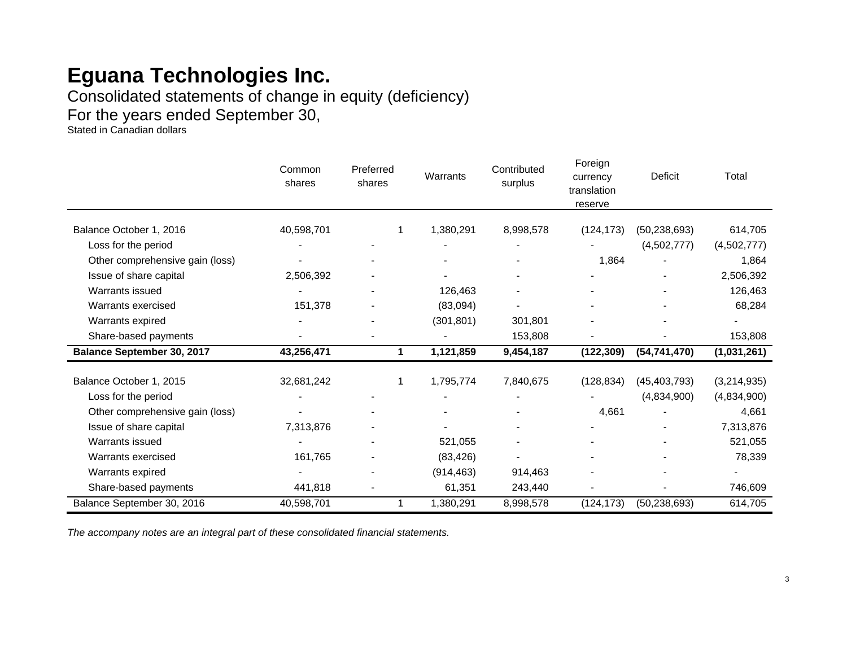Consolidated statements of change in equity (deficiency)

For the years ended September 30,

Stated in Canadian dollars

|                                   | Common<br>shares | Preferred<br>shares      | Warrants   | Contributed<br>surplus | Foreign<br>currency<br>translation<br>reserve | Deficit                  | Total       |
|-----------------------------------|------------------|--------------------------|------------|------------------------|-----------------------------------------------|--------------------------|-------------|
|                                   |                  |                          |            |                        |                                               |                          |             |
| Balance October 1, 2016           | 40,598,701       |                          | 1,380,291  | 8,998,578              | (124, 173)                                    | (50, 238, 693)           | 614,705     |
| Loss for the period               |                  |                          |            |                        |                                               | (4,502,777)              | (4,502,777) |
| Other comprehensive gain (loss)   |                  |                          |            |                        | 1,864                                         |                          | 1,864       |
| Issue of share capital            | 2,506,392        |                          |            |                        |                                               |                          | 2,506,392   |
| Warrants issued                   |                  | $\blacksquare$           | 126,463    |                        | $\overline{\phantom{a}}$                      | $\overline{\phantom{a}}$ | 126,463     |
| Warrants exercised                | 151,378          |                          | (83,094)   |                        |                                               |                          | 68,284      |
| Warrants expired                  |                  | $\overline{a}$           | (301, 801) | 301,801                |                                               |                          |             |
| Share-based payments              |                  |                          |            | 153,808                |                                               |                          | 153,808     |
| <b>Balance September 30, 2017</b> | 43,256,471       | 1.                       | 1,121,859  | 9,454,187              | (122, 309)                                    | (54, 741, 470)           | (1,031,261) |
| Balance October 1, 2015           | 32,681,242       |                          | 1,795,774  | 7,840,675              | (128, 834)                                    | (45, 403, 793)           | (3,214,935) |
|                                   |                  |                          |            |                        |                                               |                          |             |
| Loss for the period               |                  |                          |            |                        |                                               | (4,834,900)              | (4,834,900) |
| Other comprehensive gain (loss)   |                  |                          |            |                        | 4,661                                         |                          | 4,661       |
| Issue of share capital            | 7,313,876        |                          |            |                        |                                               |                          | 7,313,876   |
| Warrants issued                   |                  | $\blacksquare$           | 521,055    |                        |                                               |                          | 521,055     |
| Warrants exercised                | 161,765          |                          | (83, 426)  |                        |                                               |                          | 78,339      |
| Warrants expired                  |                  | $\overline{\phantom{0}}$ | (914, 463) | 914,463                |                                               |                          |             |
| Share-based payments              | 441,818          |                          | 61,351     | 243,440                |                                               |                          | 746,609     |
| Balance September 30, 2016        | 40,598,701       |                          | 1,380,291  | 8,998,578              | (124, 173)                                    | (50, 238, 693)           | 614,705     |

*The accompany notes are an integral part of these consolidated financial statements.*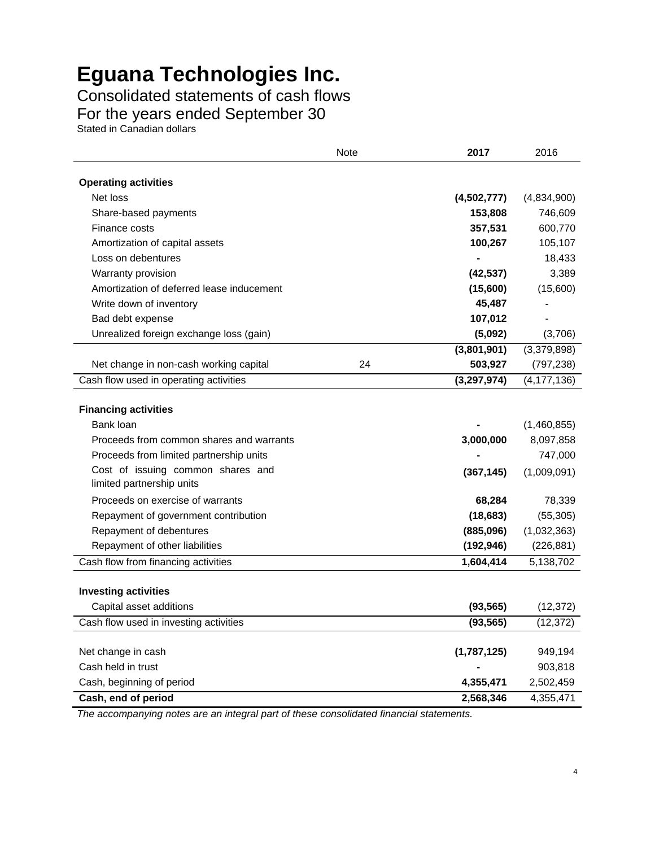Consolidated statements of cash flows For the years ended September 30

Stated in Canadian dollars

|                                                                              | <b>Note</b> | 2017          | 2016                 |
|------------------------------------------------------------------------------|-------------|---------------|----------------------|
| <b>Operating activities</b>                                                  |             |               |                      |
| Net loss                                                                     |             | (4,502,777)   | (4,834,900)          |
| Share-based payments                                                         |             | 153,808       | 746,609              |
| Finance costs                                                                |             | 357,531       | 600,770              |
| Amortization of capital assets                                               |             | 100,267       | 105,107              |
| Loss on debentures                                                           |             |               | 18,433               |
| Warranty provision                                                           |             | (42, 537)     | 3,389                |
| Amortization of deferred lease inducement                                    |             | (15,600)      | (15,600)             |
| Write down of inventory                                                      |             | 45,487        |                      |
| Bad debt expense                                                             |             | 107,012       |                      |
| Unrealized foreign exchange loss (gain)                                      |             | (5,092)       | (3,706)              |
|                                                                              |             | (3,801,901)   | (3,379,898)          |
| Net change in non-cash working capital                                       | 24          | 503,927       | (797, 238)           |
| Cash flow used in operating activities                                       |             | (3, 297, 974) | (4, 177, 136)        |
| <b>Financing activities</b>                                                  |             |               |                      |
| Bank loan                                                                    |             |               | (1,460,855)          |
| Proceeds from common shares and warrants                                     |             | 3,000,000     | 8,097,858<br>747,000 |
| Proceeds from limited partnership units<br>Cost of issuing common shares and |             |               |                      |
| limited partnership units                                                    |             | (367, 145)    | (1,009,091)          |
| Proceeds on exercise of warrants                                             |             | 68,284        | 78,339               |
| Repayment of government contribution                                         |             | (18, 683)     | (55, 305)            |
| Repayment of debentures                                                      |             | (885,096)     | (1,032,363)          |
| Repayment of other liabilities                                               |             | (192, 946)    | (226, 881)           |
| Cash flow from financing activities                                          |             | 1,604,414     | 5,138,702            |
|                                                                              |             |               |                      |
| <b>Investing activities</b>                                                  |             |               |                      |
| Capital asset additions                                                      |             | (93, 565)     | (12, 372)            |
| Cash flow used in investing activities                                       |             | (93, 565)     | (12, 372)            |
|                                                                              |             |               |                      |
| Net change in cash                                                           |             | (1,787,125)   | 949,194              |
| Cash held in trust                                                           |             |               | 903,818              |
| Cash, beginning of period                                                    |             | 4,355,471     | 2,502,459            |
| Cash, end of period                                                          |             | 2,568,346     | 4,355,471            |

*The accompanying notes are an integral part of these consolidated financial statements.*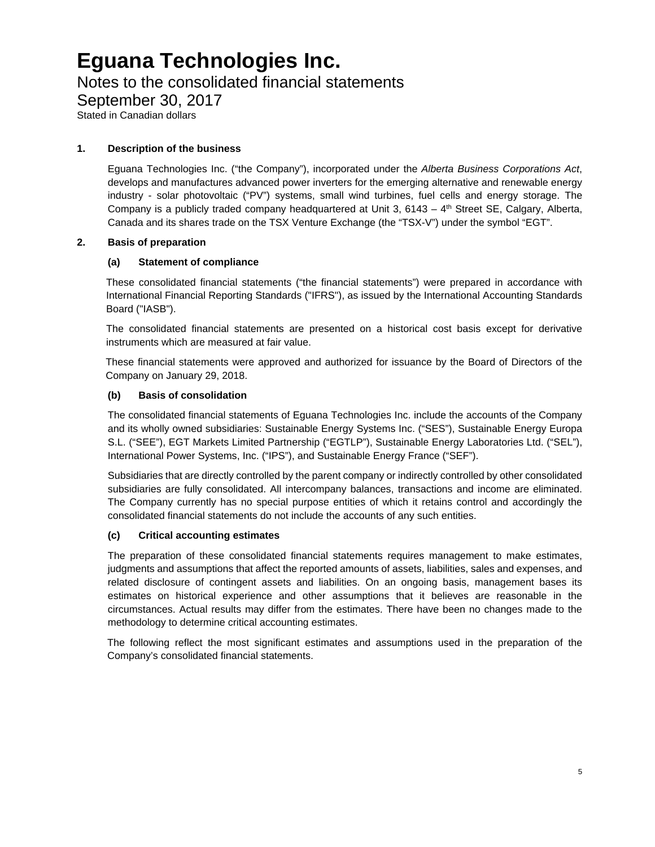### Notes to the consolidated financial statements

September 30, 2017

Stated in Canadian dollars

### **1. Description of the business**

Eguana Technologies Inc. ("the Company"), incorporated under the *Alberta Business Corporations Act*, develops and manufactures advanced power inverters for the emerging alternative and renewable energy industry - solar photovoltaic ("PV") systems, small wind turbines, fuel cells and energy storage. The Company is a publicly traded company headquartered at Unit 3,  $6143 - 4$ <sup>th</sup> Street SE, Calgary, Alberta, Canada and its shares trade on the TSX Venture Exchange (the "TSX-V") under the symbol "EGT".

### **2. Basis of preparation**

### **(a) Statement of compliance**

These consolidated financial statements ("the financial statements") were prepared in accordance with International Financial Reporting Standards ("IFRS"), as issued by the International Accounting Standards Board ("IASB").

The consolidated financial statements are presented on a historical cost basis except for derivative instruments which are measured at fair value.

These financial statements were approved and authorized for issuance by the Board of Directors of the Company on January 29, 2018.

### **(b) Basis of consolidation**

The consolidated financial statements of Eguana Technologies Inc. include the accounts of the Company and its wholly owned subsidiaries: Sustainable Energy Systems Inc. ("SES"), Sustainable Energy Europa S.L. ("SEE"), EGT Markets Limited Partnership ("EGTLP"), Sustainable Energy Laboratories Ltd. ("SEL"), International Power Systems, Inc. ("IPS"), and Sustainable Energy France ("SEF").

Subsidiaries that are directly controlled by the parent company or indirectly controlled by other consolidated subsidiaries are fully consolidated. All intercompany balances, transactions and income are eliminated. The Company currently has no special purpose entities of which it retains control and accordingly the consolidated financial statements do not include the accounts of any such entities.

### **(c) Critical accounting estimates**

The preparation of these consolidated financial statements requires management to make estimates, judgments and assumptions that affect the reported amounts of assets, liabilities, sales and expenses, and related disclosure of contingent assets and liabilities. On an ongoing basis, management bases its estimates on historical experience and other assumptions that it believes are reasonable in the circumstances. Actual results may differ from the estimates. There have been no changes made to the methodology to determine critical accounting estimates.

The following reflect the most significant estimates and assumptions used in the preparation of the Company's consolidated financial statements.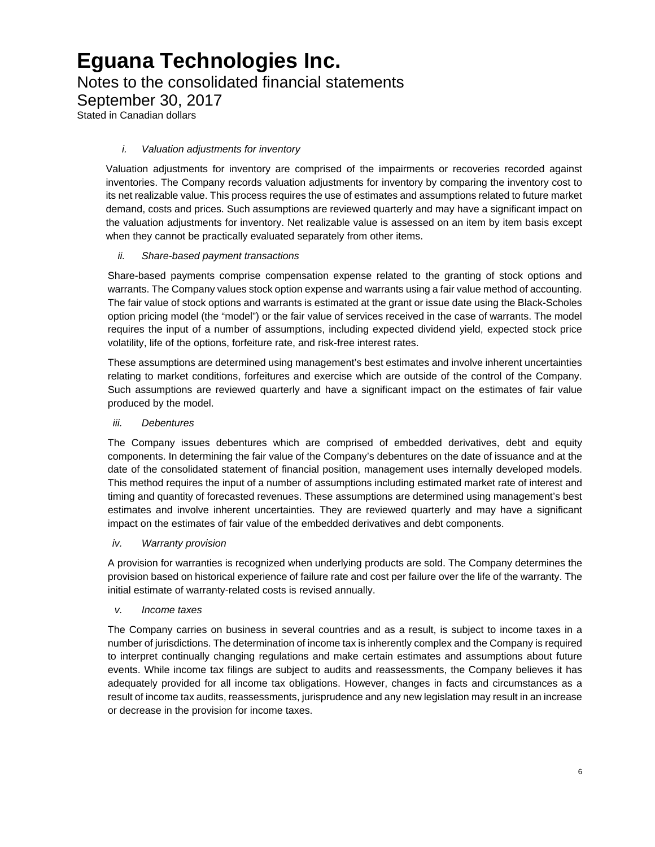Notes to the consolidated financial statements

September 30, 2017

Stated in Canadian dollars

### *i. Valuation adjustments for inventory*

Valuation adjustments for inventory are comprised of the impairments or recoveries recorded against inventories. The Company records valuation adjustments for inventory by comparing the inventory cost to its net realizable value. This process requires the use of estimates and assumptions related to future market demand, costs and prices. Such assumptions are reviewed quarterly and may have a significant impact on the valuation adjustments for inventory. Net realizable value is assessed on an item by item basis except when they cannot be practically evaluated separately from other items.

### *ii. Share-based payment transactions*

Share-based payments comprise compensation expense related to the granting of stock options and warrants. The Company values stock option expense and warrants using a fair value method of accounting. The fair value of stock options and warrants is estimated at the grant or issue date using the Black-Scholes option pricing model (the "model") or the fair value of services received in the case of warrants. The model requires the input of a number of assumptions, including expected dividend yield, expected stock price volatility, life of the options, forfeiture rate, and risk-free interest rates.

These assumptions are determined using management's best estimates and involve inherent uncertainties relating to market conditions, forfeitures and exercise which are outside of the control of the Company. Such assumptions are reviewed quarterly and have a significant impact on the estimates of fair value produced by the model.

### *iii. Debentures*

The Company issues debentures which are comprised of embedded derivatives, debt and equity components. In determining the fair value of the Company's debentures on the date of issuance and at the date of the consolidated statement of financial position, management uses internally developed models. This method requires the input of a number of assumptions including estimated market rate of interest and timing and quantity of forecasted revenues. These assumptions are determined using management's best estimates and involve inherent uncertainties. They are reviewed quarterly and may have a significant impact on the estimates of fair value of the embedded derivatives and debt components.

### *iv. Warranty provision*

A provision for warranties is recognized when underlying products are sold. The Company determines the provision based on historical experience of failure rate and cost per failure over the life of the warranty. The initial estimate of warranty-related costs is revised annually.

### *v. Income taxes*

The Company carries on business in several countries and as a result, is subject to income taxes in a number of jurisdictions. The determination of income tax is inherently complex and the Company is required to interpret continually changing regulations and make certain estimates and assumptions about future events. While income tax filings are subject to audits and reassessments, the Company believes it has adequately provided for all income tax obligations. However, changes in facts and circumstances as a result of income tax audits, reassessments, jurisprudence and any new legislation may result in an increase or decrease in the provision for income taxes.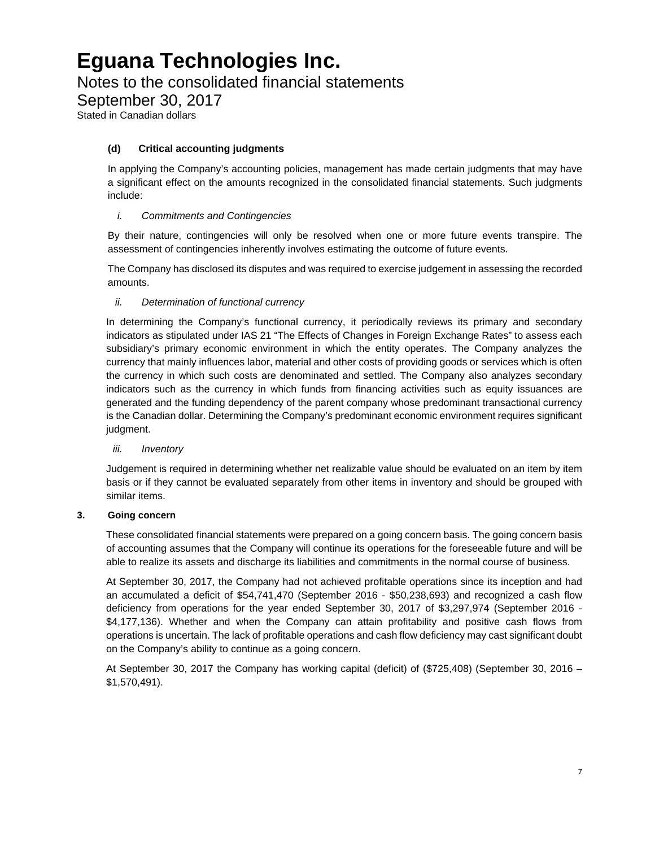Notes to the consolidated financial statements

September 30, 2017

Stated in Canadian dollars

### **(d) Critical accounting judgments**

In applying the Company's accounting policies, management has made certain judgments that may have a significant effect on the amounts recognized in the consolidated financial statements. Such judgments include:

### *i. Commitments and Contingencies*

By their nature, contingencies will only be resolved when one or more future events transpire. The assessment of contingencies inherently involves estimating the outcome of future events.

The Company has disclosed its disputes and was required to exercise judgement in assessing the recorded amounts.

### *ii. Determination of functional currency*

In determining the Company's functional currency, it periodically reviews its primary and secondary indicators as stipulated under IAS 21 "The Effects of Changes in Foreign Exchange Rates" to assess each subsidiary's primary economic environment in which the entity operates. The Company analyzes the currency that mainly influences labor, material and other costs of providing goods or services which is often the currency in which such costs are denominated and settled. The Company also analyzes secondary indicators such as the currency in which funds from financing activities such as equity issuances are generated and the funding dependency of the parent company whose predominant transactional currency is the Canadian dollar. Determining the Company's predominant economic environment requires significant judgment.

### *iii. Inventory*

Judgement is required in determining whether net realizable value should be evaluated on an item by item basis or if they cannot be evaluated separately from other items in inventory and should be grouped with similar items.

### **3. Going concern**

These consolidated financial statements were prepared on a going concern basis. The going concern basis of accounting assumes that the Company will continue its operations for the foreseeable future and will be able to realize its assets and discharge its liabilities and commitments in the normal course of business.

At September 30, 2017, the Company had not achieved profitable operations since its inception and had an accumulated a deficit of \$54,741,470 (September 2016 - \$50,238,693) and recognized a cash flow deficiency from operations for the year ended September 30, 2017 of \$3,297,974 (September 2016 - \$4,177,136). Whether and when the Company can attain profitability and positive cash flows from operations is uncertain. The lack of profitable operations and cash flow deficiency may cast significant doubt on the Company's ability to continue as a going concern.

At September 30, 2017 the Company has working capital (deficit) of (\$725,408) (September 30, 2016 – \$1,570,491).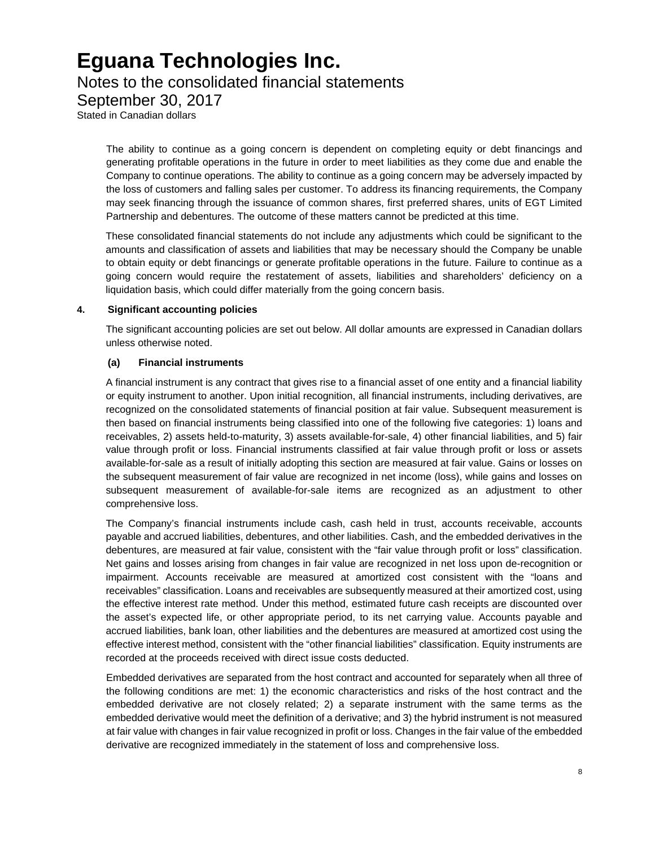### Notes to the consolidated financial statements

September 30, 2017

Stated in Canadian dollars

The ability to continue as a going concern is dependent on completing equity or debt financings and generating profitable operations in the future in order to meet liabilities as they come due and enable the Company to continue operations. The ability to continue as a going concern may be adversely impacted by the loss of customers and falling sales per customer. To address its financing requirements, the Company may seek financing through the issuance of common shares, first preferred shares, units of EGT Limited Partnership and debentures. The outcome of these matters cannot be predicted at this time.

These consolidated financial statements do not include any adjustments which could be significant to the amounts and classification of assets and liabilities that may be necessary should the Company be unable to obtain equity or debt financings or generate profitable operations in the future. Failure to continue as a going concern would require the restatement of assets, liabilities and shareholders' deficiency on a liquidation basis, which could differ materially from the going concern basis.

### **4. Significant accounting policies**

The significant accounting policies are set out below. All dollar amounts are expressed in Canadian dollars unless otherwise noted.

### **(a) Financial instruments**

A financial instrument is any contract that gives rise to a financial asset of one entity and a financial liability or equity instrument to another. Upon initial recognition, all financial instruments, including derivatives, are recognized on the consolidated statements of financial position at fair value. Subsequent measurement is then based on financial instruments being classified into one of the following five categories: 1) loans and receivables, 2) assets held-to-maturity, 3) assets available-for-sale, 4) other financial liabilities, and 5) fair value through profit or loss. Financial instruments classified at fair value through profit or loss or assets available-for-sale as a result of initially adopting this section are measured at fair value. Gains or losses on the subsequent measurement of fair value are recognized in net income (loss), while gains and losses on subsequent measurement of available-for-sale items are recognized as an adjustment to other comprehensive loss.

The Company's financial instruments include cash, cash held in trust, accounts receivable, accounts payable and accrued liabilities, debentures, and other liabilities. Cash, and the embedded derivatives in the debentures, are measured at fair value, consistent with the "fair value through profit or loss" classification. Net gains and losses arising from changes in fair value are recognized in net loss upon de-recognition or impairment. Accounts receivable are measured at amortized cost consistent with the "loans and receivables" classification. Loans and receivables are subsequently measured at their amortized cost, using the effective interest rate method. Under this method, estimated future cash receipts are discounted over the asset's expected life, or other appropriate period, to its net carrying value. Accounts payable and accrued liabilities, bank loan, other liabilities and the debentures are measured at amortized cost using the effective interest method, consistent with the "other financial liabilities" classification. Equity instruments are recorded at the proceeds received with direct issue costs deducted.

Embedded derivatives are separated from the host contract and accounted for separately when all three of the following conditions are met: 1) the economic characteristics and risks of the host contract and the embedded derivative are not closely related; 2) a separate instrument with the same terms as the embedded derivative would meet the definition of a derivative; and 3) the hybrid instrument is not measured at fair value with changes in fair value recognized in profit or loss. Changes in the fair value of the embedded derivative are recognized immediately in the statement of loss and comprehensive loss.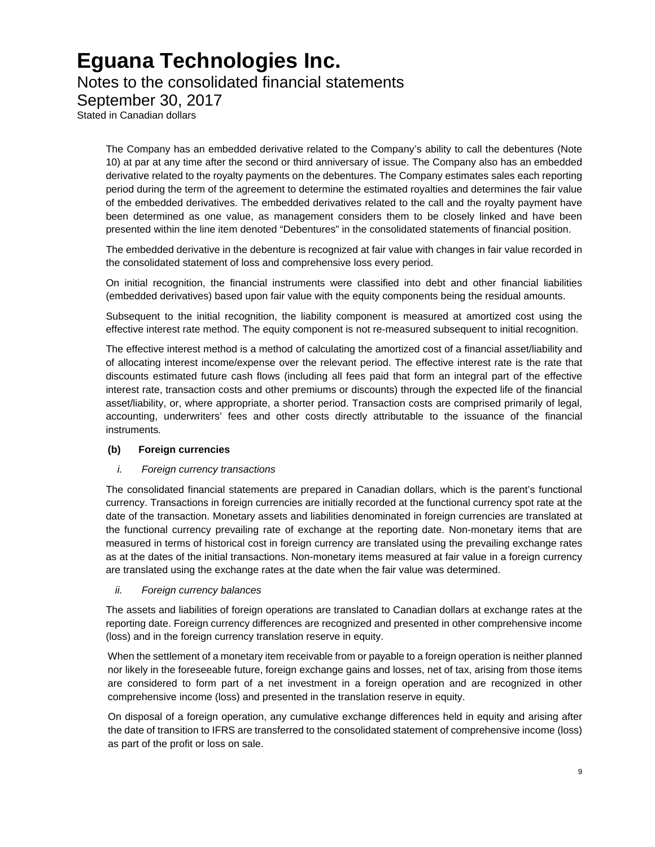### Notes to the consolidated financial statements

September 30, 2017

Stated in Canadian dollars

The Company has an embedded derivative related to the Company's ability to call the debentures (Note 10) at par at any time after the second or third anniversary of issue. The Company also has an embedded derivative related to the royalty payments on the debentures. The Company estimates sales each reporting period during the term of the agreement to determine the estimated royalties and determines the fair value of the embedded derivatives. The embedded derivatives related to the call and the royalty payment have been determined as one value, as management considers them to be closely linked and have been presented within the line item denoted "Debentures" in the consolidated statements of financial position.

The embedded derivative in the debenture is recognized at fair value with changes in fair value recorded in the consolidated statement of loss and comprehensive loss every period.

On initial recognition, the financial instruments were classified into debt and other financial liabilities (embedded derivatives) based upon fair value with the equity components being the residual amounts.

Subsequent to the initial recognition, the liability component is measured at amortized cost using the effective interest rate method. The equity component is not re-measured subsequent to initial recognition.

The effective interest method is a method of calculating the amortized cost of a financial asset/liability and of allocating interest income/expense over the relevant period. The effective interest rate is the rate that discounts estimated future cash flows (including all fees paid that form an integral part of the effective interest rate, transaction costs and other premiums or discounts) through the expected life of the financial asset/liability, or, where appropriate, a shorter period. Transaction costs are comprised primarily of legal, accounting, underwriters' fees and other costs directly attributable to the issuance of the financial instruments*.*

### **(b) Foreign currencies**

#### *i. Foreign currency transactions*

The consolidated financial statements are prepared in Canadian dollars, which is the parent's functional currency. Transactions in foreign currencies are initially recorded at the functional currency spot rate at the date of the transaction. Monetary assets and liabilities denominated in foreign currencies are translated at the functional currency prevailing rate of exchange at the reporting date. Non-monetary items that are measured in terms of historical cost in foreign currency are translated using the prevailing exchange rates as at the dates of the initial transactions. Non-monetary items measured at fair value in a foreign currency are translated using the exchange rates at the date when the fair value was determined.

#### *ii. Foreign currency balances*

The assets and liabilities of foreign operations are translated to Canadian dollars at exchange rates at the reporting date. Foreign currency differences are recognized and presented in other comprehensive income (loss) and in the foreign currency translation reserve in equity.

When the settlement of a monetary item receivable from or payable to a foreign operation is neither planned nor likely in the foreseeable future, foreign exchange gains and losses, net of tax, arising from those items are considered to form part of a net investment in a foreign operation and are recognized in other comprehensive income (loss) and presented in the translation reserve in equity.

On disposal of a foreign operation, any cumulative exchange differences held in equity and arising after the date of transition to IFRS are transferred to the consolidated statement of comprehensive income (loss) as part of the profit or loss on sale.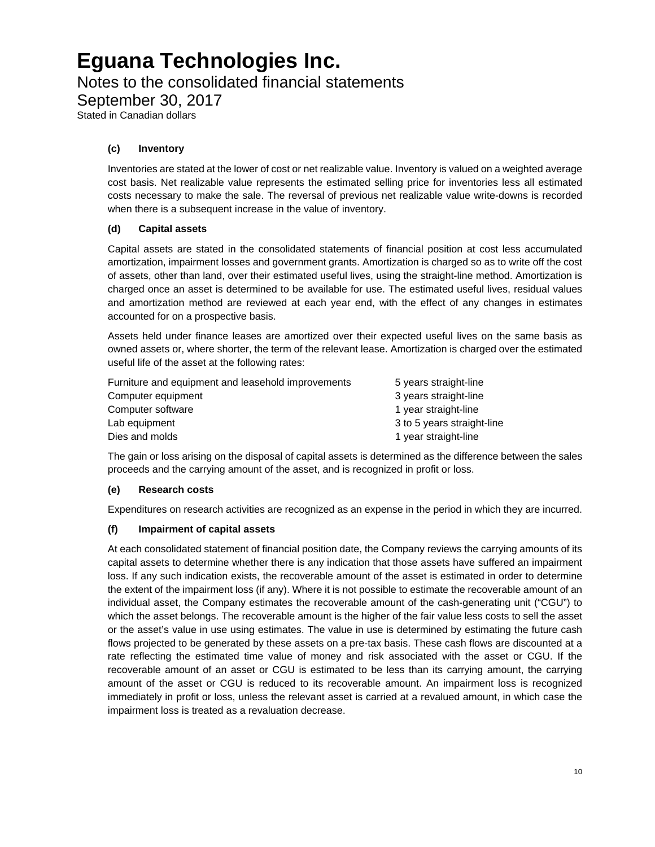Notes to the consolidated financial statements

September 30, 2017

Stated in Canadian dollars

### **(c) Inventory**

Inventories are stated at the lower of cost or net realizable value. Inventory is valued on a weighted average cost basis. Net realizable value represents the estimated selling price for inventories less all estimated costs necessary to make the sale. The reversal of previous net realizable value write-downs is recorded when there is a subsequent increase in the value of inventory.

### **(d) Capital assets**

Capital assets are stated in the consolidated statements of financial position at cost less accumulated amortization, impairment losses and government grants. Amortization is charged so as to write off the cost of assets, other than land, over their estimated useful lives, using the straight-line method. Amortization is charged once an asset is determined to be available for use. The estimated useful lives, residual values and amortization method are reviewed at each year end, with the effect of any changes in estimates accounted for on a prospective basis.

Assets held under finance leases are amortized over their expected useful lives on the same basis as owned assets or, where shorter, the term of the relevant lease. Amortization is charged over the estimated useful life of the asset at the following rates:

| Furniture and equipment and leasehold improvements | 5 years straight-line      |
|----------------------------------------------------|----------------------------|
| Computer equipment                                 | 3 years straight-line      |
| Computer software                                  | 1 year straight-line       |
| Lab equipment                                      | 3 to 5 years straight-line |
| Dies and molds                                     | 1 year straight-line       |

The gain or loss arising on the disposal of capital assets is determined as the difference between the sales proceeds and the carrying amount of the asset, and is recognized in profit or loss.

### **(e) Research costs**

Expenditures on research activities are recognized as an expense in the period in which they are incurred.

### **(f) Impairment of capital assets**

At each consolidated statement of financial position date, the Company reviews the carrying amounts of its capital assets to determine whether there is any indication that those assets have suffered an impairment loss. If any such indication exists, the recoverable amount of the asset is estimated in order to determine the extent of the impairment loss (if any). Where it is not possible to estimate the recoverable amount of an individual asset, the Company estimates the recoverable amount of the cash-generating unit ("CGU") to which the asset belongs. The recoverable amount is the higher of the fair value less costs to sell the asset or the asset's value in use using estimates. The value in use is determined by estimating the future cash flows projected to be generated by these assets on a pre-tax basis. These cash flows are discounted at a rate reflecting the estimated time value of money and risk associated with the asset or CGU. If the recoverable amount of an asset or CGU is estimated to be less than its carrying amount, the carrying amount of the asset or CGU is reduced to its recoverable amount. An impairment loss is recognized immediately in profit or loss, unless the relevant asset is carried at a revalued amount, in which case the impairment loss is treated as a revaluation decrease.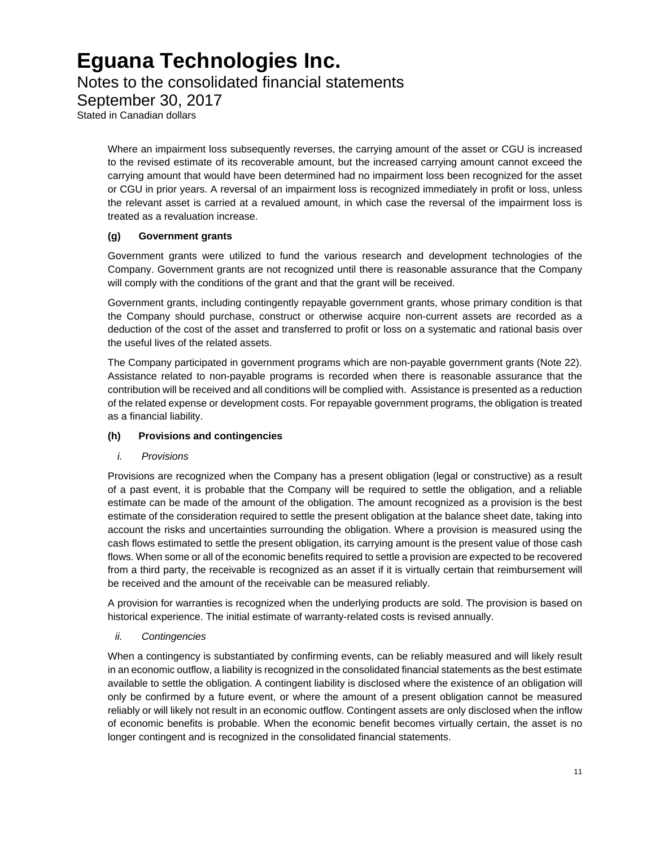### Notes to the consolidated financial statements

September 30, 2017

Stated in Canadian dollars

Where an impairment loss subsequently reverses, the carrying amount of the asset or CGU is increased to the revised estimate of its recoverable amount, but the increased carrying amount cannot exceed the carrying amount that would have been determined had no impairment loss been recognized for the asset or CGU in prior years. A reversal of an impairment loss is recognized immediately in profit or loss, unless the relevant asset is carried at a revalued amount, in which case the reversal of the impairment loss is treated as a revaluation increase.

### **(g) Government grants**

Government grants were utilized to fund the various research and development technologies of the Company. Government grants are not recognized until there is reasonable assurance that the Company will comply with the conditions of the grant and that the grant will be received.

Government grants, including contingently repayable government grants, whose primary condition is that the Company should purchase, construct or otherwise acquire non-current assets are recorded as a deduction of the cost of the asset and transferred to profit or loss on a systematic and rational basis over the useful lives of the related assets.

The Company participated in government programs which are non-payable government grants (Note 22). Assistance related to non-payable programs is recorded when there is reasonable assurance that the contribution will be received and all conditions will be complied with. Assistance is presented as a reduction of the related expense or development costs. For repayable government programs, the obligation is treated as a financial liability.

### **(h) Provisions and contingencies**

### *i. Provisions*

Provisions are recognized when the Company has a present obligation (legal or constructive) as a result of a past event, it is probable that the Company will be required to settle the obligation, and a reliable estimate can be made of the amount of the obligation. The amount recognized as a provision is the best estimate of the consideration required to settle the present obligation at the balance sheet date, taking into account the risks and uncertainties surrounding the obligation. Where a provision is measured using the cash flows estimated to settle the present obligation, its carrying amount is the present value of those cash flows. When some or all of the economic benefits required to settle a provision are expected to be recovered from a third party, the receivable is recognized as an asset if it is virtually certain that reimbursement will be received and the amount of the receivable can be measured reliably.

A provision for warranties is recognized when the underlying products are sold. The provision is based on historical experience. The initial estimate of warranty-related costs is revised annually.

### *ii. Contingencies*

When a contingency is substantiated by confirming events, can be reliably measured and will likely result in an economic outflow, a liability is recognized in the consolidated financial statements as the best estimate available to settle the obligation. A contingent liability is disclosed where the existence of an obligation will only be confirmed by a future event, or where the amount of a present obligation cannot be measured reliably or will likely not result in an economic outflow. Contingent assets are only disclosed when the inflow of economic benefits is probable. When the economic benefit becomes virtually certain, the asset is no longer contingent and is recognized in the consolidated financial statements.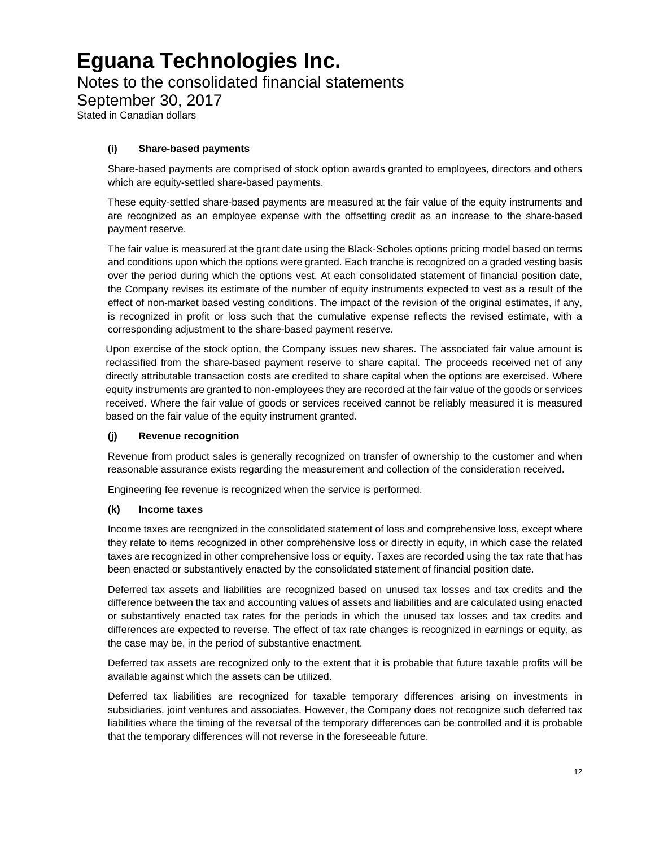Notes to the consolidated financial statements

September 30, 2017

Stated in Canadian dollars

### **(i) Share-based payments**

Share-based payments are comprised of stock option awards granted to employees, directors and others which are equity-settled share-based payments.

These equity-settled share-based payments are measured at the fair value of the equity instruments and are recognized as an employee expense with the offsetting credit as an increase to the share-based payment reserve.

The fair value is measured at the grant date using the Black-Scholes options pricing model based on terms and conditions upon which the options were granted. Each tranche is recognized on a graded vesting basis over the period during which the options vest. At each consolidated statement of financial position date, the Company revises its estimate of the number of equity instruments expected to vest as a result of the effect of non-market based vesting conditions. The impact of the revision of the original estimates, if any, is recognized in profit or loss such that the cumulative expense reflects the revised estimate, with a corresponding adjustment to the share-based payment reserve.

Upon exercise of the stock option, the Company issues new shares. The associated fair value amount is reclassified from the share-based payment reserve to share capital. The proceeds received net of any directly attributable transaction costs are credited to share capital when the options are exercised. Where equity instruments are granted to non-employees they are recorded at the fair value of the goods or services received. Where the fair value of goods or services received cannot be reliably measured it is measured based on the fair value of the equity instrument granted.

### **(j) Revenue recognition**

Revenue from product sales is generally recognized on transfer of ownership to the customer and when reasonable assurance exists regarding the measurement and collection of the consideration received.

Engineering fee revenue is recognized when the service is performed.

### **(k) Income taxes**

Income taxes are recognized in the consolidated statement of loss and comprehensive loss, except where they relate to items recognized in other comprehensive loss or directly in equity, in which case the related taxes are recognized in other comprehensive loss or equity. Taxes are recorded using the tax rate that has been enacted or substantively enacted by the consolidated statement of financial position date.

Deferred tax assets and liabilities are recognized based on unused tax losses and tax credits and the difference between the tax and accounting values of assets and liabilities and are calculated using enacted or substantively enacted tax rates for the periods in which the unused tax losses and tax credits and differences are expected to reverse. The effect of tax rate changes is recognized in earnings or equity, as the case may be, in the period of substantive enactment.

Deferred tax assets are recognized only to the extent that it is probable that future taxable profits will be available against which the assets can be utilized.

Deferred tax liabilities are recognized for taxable temporary differences arising on investments in subsidiaries, joint ventures and associates. However, the Company does not recognize such deferred tax liabilities where the timing of the reversal of the temporary differences can be controlled and it is probable that the temporary differences will not reverse in the foreseeable future.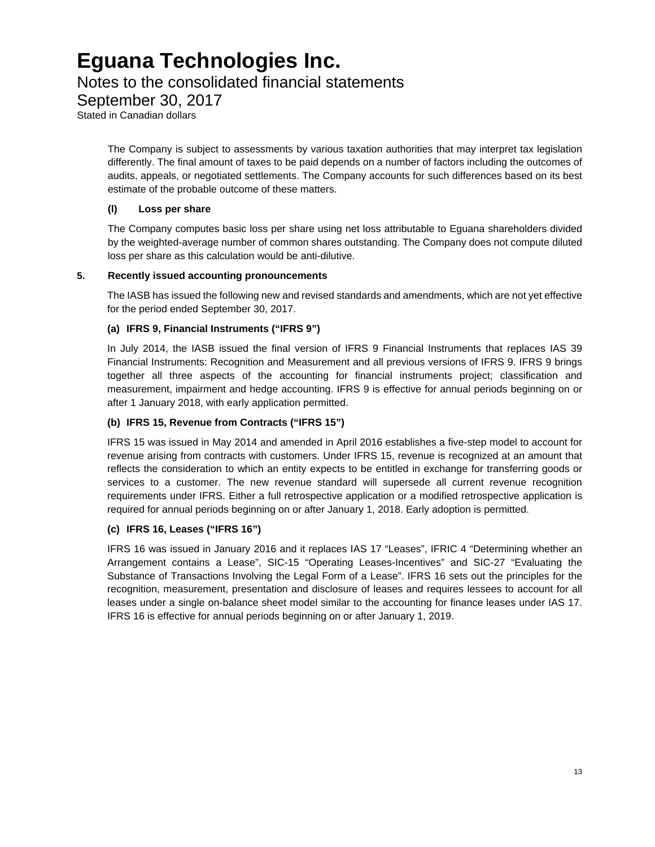### Notes to the consolidated financial statements

September 30, 2017

Stated in Canadian dollars

The Company is subject to assessments by various taxation authorities that may interpret tax legislation differently. The final amount of taxes to be paid depends on a number of factors including the outcomes of audits, appeals, or negotiated settlements. The Company accounts for such differences based on its best estimate of the probable outcome of these matters.

### **(l) Loss per share**

The Company computes basic loss per share using net loss attributable to Eguana shareholders divided by the weighted-average number of common shares outstanding. The Company does not compute diluted loss per share as this calculation would be anti-dilutive.

### **5. Recently issued accounting pronouncements**

The IASB has issued the following new and revised standards and amendments, which are not yet effective for the period ended September 30, 2017.

### **(a) IFRS 9, Financial Instruments ("IFRS 9")**

In July 2014, the IASB issued the final version of IFRS 9 Financial Instruments that replaces IAS 39 Financial Instruments: Recognition and Measurement and all previous versions of IFRS 9. IFRS 9 brings together all three aspects of the accounting for financial instruments project; classification and measurement, impairment and hedge accounting. IFRS 9 is effective for annual periods beginning on or after 1 January 2018, with early application permitted.

### **(b) IFRS 15, Revenue from Contracts ("IFRS 15")**

IFRS 15 was issued in May 2014 and amended in April 2016 establishes a five-step model to account for revenue arising from contracts with customers. Under IFRS 15, revenue is recognized at an amount that reflects the consideration to which an entity expects to be entitled in exchange for transferring goods or services to a customer. The new revenue standard will supersede all current revenue recognition requirements under IFRS. Either a full retrospective application or a modified retrospective application is required for annual periods beginning on or after January 1, 2018. Early adoption is permitted.

### **(c) IFRS 16, Leases ("IFRS 16")**

IFRS 16 was issued in January 2016 and it replaces IAS 17 "Leases", IFRIC 4 "Determining whether an Arrangement contains a Lease", SIC-15 "Operating Leases-Incentives" and SIC-27 "Evaluating the Substance of Transactions Involving the Legal Form of a Lease". IFRS 16 sets out the principles for the recognition, measurement, presentation and disclosure of leases and requires lessees to account for all leases under a single on-balance sheet model similar to the accounting for finance leases under IAS 17. IFRS 16 is effective for annual periods beginning on or after January 1, 2019.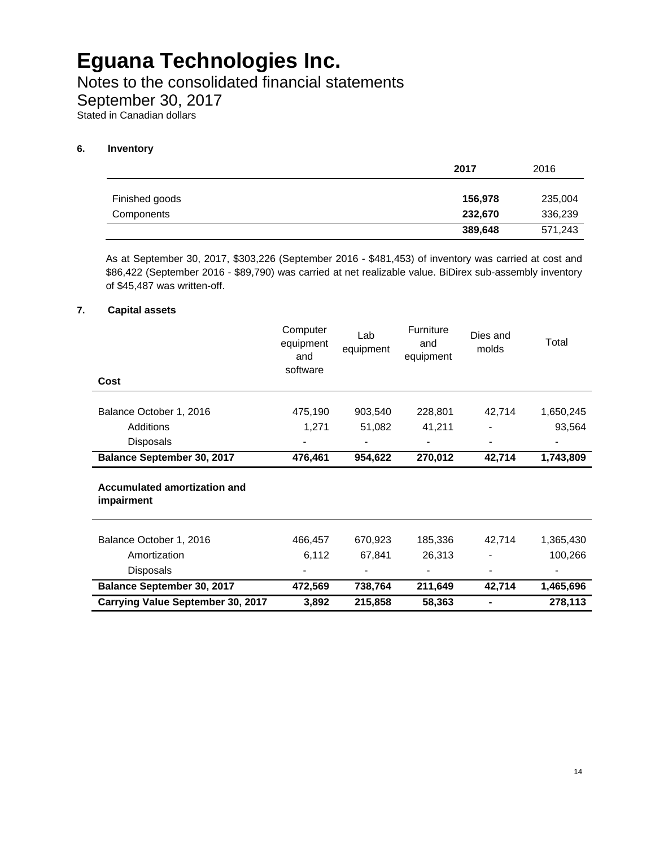Notes to the consolidated financial statements

September 30, 2017

Stated in Canadian dollars

### **6. Inventory**

|                | 2017    | 2016    |
|----------------|---------|---------|
|                |         |         |
| Finished goods | 156,978 | 235,004 |
| Components     | 232,670 | 336,239 |
|                | 389,648 | 571,243 |

As at September 30, 2017, \$303,226 (September 2016 - \$481,453) of inventory was carried at cost and \$86,422 (September 2016 - \$89,790) was carried at net realizable value. BiDirex sub-assembly inventory of \$45,487 was written-off.

### **7. Capital assets**

| Cost                                       | Computer<br>equipment<br>and<br>software | Lab<br>equipment | Furniture<br>and<br>equipment | Dies and<br>molds | Total     |
|--------------------------------------------|------------------------------------------|------------------|-------------------------------|-------------------|-----------|
|                                            |                                          |                  |                               |                   |           |
| Balance October 1, 2016                    | 475,190                                  | 903,540          | 228,801                       | 42,714            | 1,650,245 |
| Additions                                  | 1,271                                    | 51,082           | 41,211                        |                   | 93,564    |
| Disposals                                  |                                          |                  |                               |                   |           |
| <b>Balance September 30, 2017</b>          | 476,461                                  | 954,622          | 270,012                       | 42,714            | 1,743,809 |
| Accumulated amortization and<br>impairment |                                          |                  |                               |                   |           |
| Balance October 1, 2016                    | 466,457                                  | 670,923          | 185,336                       | 42,714            | 1,365,430 |
| Amortization                               | 6,112                                    | 67,841           | 26,313                        |                   | 100,266   |
| <b>Disposals</b>                           |                                          |                  |                               |                   |           |
| Balance September 30, 2017                 | 472,569                                  | 738,764          | 211,649                       | 42,714            | 1,465,696 |
| <b>Carrying Value September 30, 2017</b>   | 3,892                                    | 215,858          | 58,363                        |                   | 278,113   |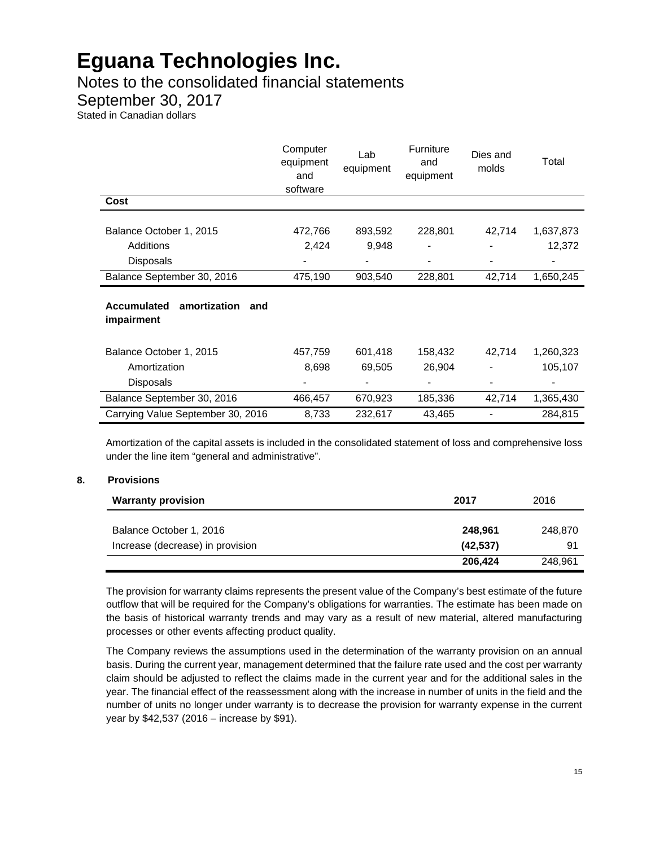Notes to the consolidated financial statements

September 30, 2017

Stated in Canadian dollars

|                                                         | Computer<br>equipment<br>and<br>software | Lab<br>equipment | Furniture<br>and<br>equipment | Dies and<br>molds | Total     |
|---------------------------------------------------------|------------------------------------------|------------------|-------------------------------|-------------------|-----------|
| Cost                                                    |                                          |                  |                               |                   |           |
| Balance October 1, 2015                                 | 472,766                                  | 893,592          | 228,801                       | 42,714            | 1,637,873 |
| Additions                                               | 2,424                                    | 9,948            |                               |                   | 12,372    |
| <b>Disposals</b>                                        |                                          |                  |                               |                   |           |
| Balance September 30, 2016                              | 475,190                                  | 903,540          | 228,801                       | 42,714            | 1,650,245 |
| amortization<br><b>Accumulated</b><br>and<br>impairment |                                          |                  |                               |                   |           |
| Balance October 1, 2015                                 | 457,759                                  | 601,418          | 158,432                       | 42,714            | 1,260,323 |
| Amortization                                            | 8,698                                    | 69,505           | 26,904                        | $\blacksquare$    | 105,107   |
| Disposals                                               |                                          |                  |                               | $\blacksquare$    |           |
| Balance September 30, 2016                              | 466,457                                  | 670,923          | 185,336                       | 42,714            | 1,365,430 |
| Carrying Value September 30, 2016                       | 8,733                                    | 232,617          | 43,465                        |                   | 284,815   |

Amortization of the capital assets is included in the consolidated statement of loss and comprehensive loss under the line item "general and administrative".

#### **8. Provisions**

| <b>Warranty provision</b>        | 2017      | 2016    |
|----------------------------------|-----------|---------|
|                                  |           |         |
| Balance October 1, 2016          | 248.961   | 248.870 |
| Increase (decrease) in provision | (42, 537) | 91      |
|                                  | 206,424   | 248.961 |

The provision for warranty claims represents the present value of the Company's best estimate of the future outflow that will be required for the Company's obligations for warranties. The estimate has been made on the basis of historical warranty trends and may vary as a result of new material, altered manufacturing processes or other events affecting product quality.

The Company reviews the assumptions used in the determination of the warranty provision on an annual basis. During the current year, management determined that the failure rate used and the cost per warranty claim should be adjusted to reflect the claims made in the current year and for the additional sales in the year. The financial effect of the reassessment along with the increase in number of units in the field and the number of units no longer under warranty is to decrease the provision for warranty expense in the current year by \$42,537 (2016 – increase by \$91).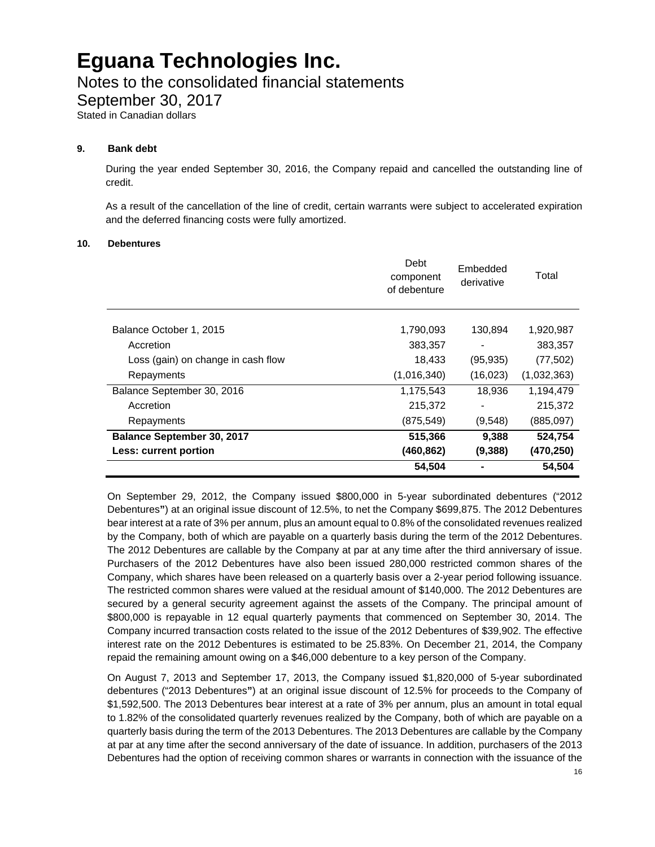### Notes to the consolidated financial statements

September 30, 2017

Stated in Canadian dollars

#### **9. Bank debt**

During the year ended September 30, 2016, the Company repaid and cancelled the outstanding line of credit.

As a result of the cancellation of the line of credit, certain warrants were subject to accelerated expiration and the deferred financing costs were fully amortized.

#### **10. Debentures**

|                                    | Debt<br>component<br>of debenture | Embedded<br>derivative | Total       |
|------------------------------------|-----------------------------------|------------------------|-------------|
| Balance October 1, 2015            | 1,790,093                         | 130,894                | 1,920,987   |
| Accretion                          | 383,357                           |                        | 383,357     |
| Loss (gain) on change in cash flow | 18,433                            | (95, 935)              | (77, 502)   |
| Repayments                         | (1,016,340)                       | (16, 023)              | (1,032,363) |
| Balance September 30, 2016         | 1,175,543                         | 18.936                 | 1,194,479   |
| Accretion                          | 215,372                           |                        | 215,372     |
| Repayments                         | (875, 549)                        | (9,548)                | (885,097)   |
| Balance September 30, 2017         | 515,366                           | 9,388                  | 524,754     |
| Less: current portion              | (460, 862)                        | (9,388)                | (470,250)   |
|                                    | 54,504                            |                        | 54,504      |

On September 29, 2012, the Company issued \$800,000 in 5-year subordinated debentures ("2012 Debentures**"**) at an original issue discount of 12.5%, to net the Company \$699,875. The 2012 Debentures bear interest at a rate of 3% per annum, plus an amount equal to 0.8% of the consolidated revenues realized by the Company, both of which are payable on a quarterly basis during the term of the 2012 Debentures. The 2012 Debentures are callable by the Company at par at any time after the third anniversary of issue. Purchasers of the 2012 Debentures have also been issued 280,000 restricted common shares of the Company, which shares have been released on a quarterly basis over a 2-year period following issuance. The restricted common shares were valued at the residual amount of \$140,000. The 2012 Debentures are secured by a general security agreement against the assets of the Company. The principal amount of \$800,000 is repayable in 12 equal quarterly payments that commenced on September 30, 2014. The Company incurred transaction costs related to the issue of the 2012 Debentures of \$39,902. The effective interest rate on the 2012 Debentures is estimated to be 25.83%. On December 21, 2014, the Company repaid the remaining amount owing on a \$46,000 debenture to a key person of the Company.

On August 7, 2013 and September 17, 2013, the Company issued \$1,820,000 of 5-year subordinated debentures ("2013 Debentures**"**) at an original issue discount of 12.5% for proceeds to the Company of \$1,592,500. The 2013 Debentures bear interest at a rate of 3% per annum, plus an amount in total equal to 1.82% of the consolidated quarterly revenues realized by the Company, both of which are payable on a quarterly basis during the term of the 2013 Debentures. The 2013 Debentures are callable by the Company at par at any time after the second anniversary of the date of issuance. In addition, purchasers of the 2013 Debentures had the option of receiving common shares or warrants in connection with the issuance of the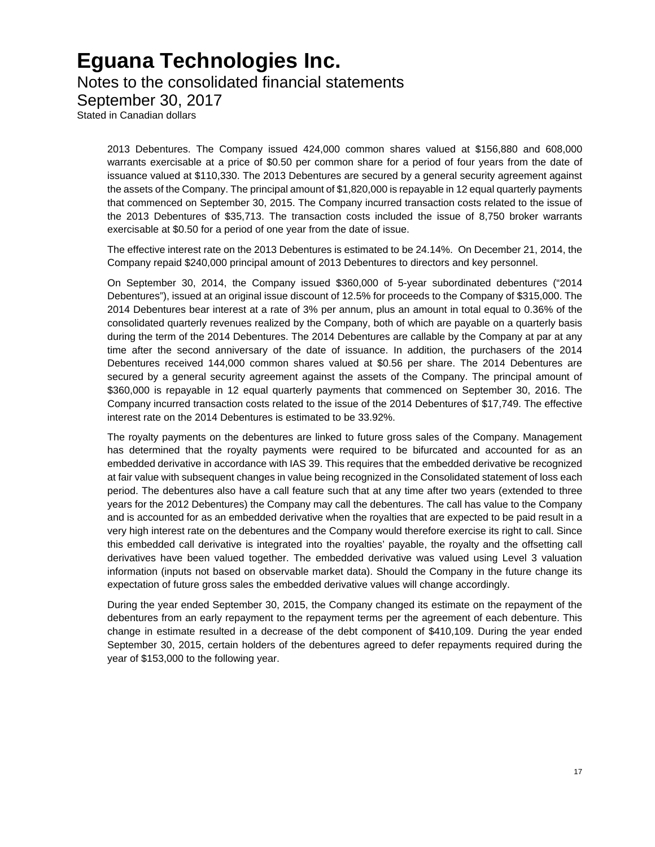### Notes to the consolidated financial statements

September 30, 2017

Stated in Canadian dollars

2013 Debentures. The Company issued 424,000 common shares valued at \$156,880 and 608,000 warrants exercisable at a price of \$0.50 per common share for a period of four years from the date of issuance valued at \$110,330. The 2013 Debentures are secured by a general security agreement against the assets of the Company. The principal amount of \$1,820,000 is repayable in 12 equal quarterly payments that commenced on September 30, 2015. The Company incurred transaction costs related to the issue of the 2013 Debentures of \$35,713. The transaction costs included the issue of 8,750 broker warrants exercisable at \$0.50 for a period of one year from the date of issue.

The effective interest rate on the 2013 Debentures is estimated to be 24.14%. On December 21, 2014, the Company repaid \$240,000 principal amount of 2013 Debentures to directors and key personnel.

On September 30, 2014, the Company issued \$360,000 of 5-year subordinated debentures ("2014 Debentures"), issued at an original issue discount of 12.5% for proceeds to the Company of \$315,000. The 2014 Debentures bear interest at a rate of 3% per annum, plus an amount in total equal to 0.36% of the consolidated quarterly revenues realized by the Company, both of which are payable on a quarterly basis during the term of the 2014 Debentures. The 2014 Debentures are callable by the Company at par at any time after the second anniversary of the date of issuance. In addition, the purchasers of the 2014 Debentures received 144,000 common shares valued at \$0.56 per share. The 2014 Debentures are secured by a general security agreement against the assets of the Company. The principal amount of \$360,000 is repayable in 12 equal quarterly payments that commenced on September 30, 2016. The Company incurred transaction costs related to the issue of the 2014 Debentures of \$17,749. The effective interest rate on the 2014 Debentures is estimated to be 33.92%.

The royalty payments on the debentures are linked to future gross sales of the Company. Management has determined that the royalty payments were required to be bifurcated and accounted for as an embedded derivative in accordance with IAS 39. This requires that the embedded derivative be recognized at fair value with subsequent changes in value being recognized in the Consolidated statement of loss each period. The debentures also have a call feature such that at any time after two years (extended to three years for the 2012 Debentures) the Company may call the debentures. The call has value to the Company and is accounted for as an embedded derivative when the royalties that are expected to be paid result in a very high interest rate on the debentures and the Company would therefore exercise its right to call. Since this embedded call derivative is integrated into the royalties' payable, the royalty and the offsetting call derivatives have been valued together. The embedded derivative was valued using Level 3 valuation information (inputs not based on observable market data). Should the Company in the future change its expectation of future gross sales the embedded derivative values will change accordingly.

During the year ended September 30, 2015, the Company changed its estimate on the repayment of the debentures from an early repayment to the repayment terms per the agreement of each debenture. This change in estimate resulted in a decrease of the debt component of \$410,109. During the year ended September 30, 2015, certain holders of the debentures agreed to defer repayments required during the year of \$153,000 to the following year.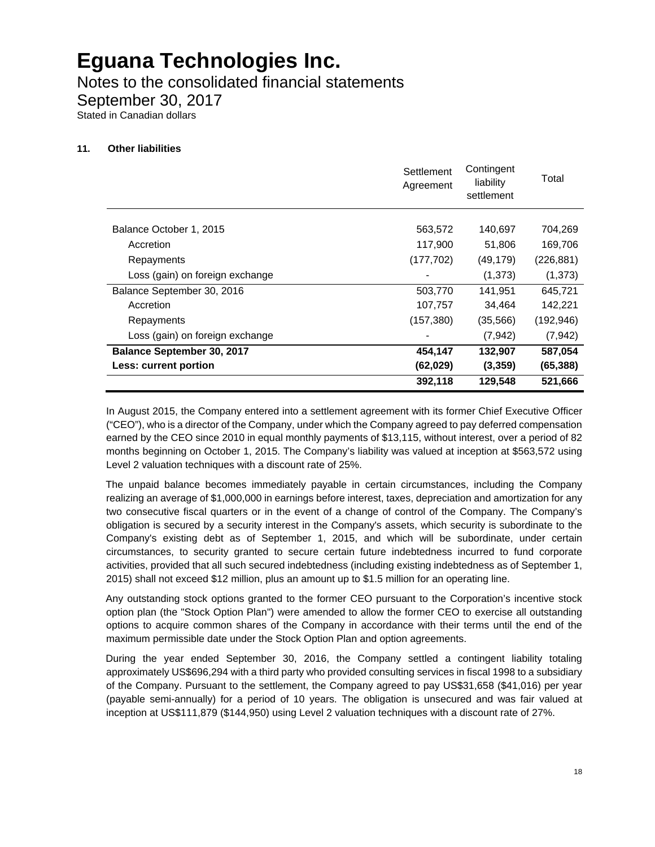Notes to the consolidated financial statements

September 30, 2017

Stated in Canadian dollars

### **11. Other liabilities**

|                                   | Settlement<br>Agreement | Contingent<br>liability<br>settlement | Total      |
|-----------------------------------|-------------------------|---------------------------------------|------------|
| Balance October 1, 2015           | 563,572                 | 140,697                               | 704,269    |
| Accretion                         | 117,900                 | 51,806                                | 169,706    |
| Repayments                        | (177, 702)              | (49, 179)                             | (226, 881) |
| Loss (gain) on foreign exchange   |                         | (1,373)                               | (1,373)    |
| Balance September 30, 2016        | 503,770                 | 141,951                               | 645.721    |
| Accretion                         | 107,757                 | 34,464                                | 142,221    |
| Repayments                        | (157, 380)              | (35, 566)                             | (192, 946) |
| Loss (gain) on foreign exchange   |                         | (7,942)                               | (7, 942)   |
| <b>Balance September 30, 2017</b> | 454,147                 | 132,907                               | 587,054    |
| Less: current portion             | (62, 029)               | (3,359)                               | (65, 388)  |
|                                   | 392,118                 | 129,548                               | 521,666    |

In August 2015, the Company entered into a settlement agreement with its former Chief Executive Officer ("CEO"), who is a director of the Company, under which the Company agreed to pay deferred compensation earned by the CEO since 2010 in equal monthly payments of \$13,115, without interest, over a period of 82 months beginning on October 1, 2015. The Company's liability was valued at inception at \$563,572 using Level 2 valuation techniques with a discount rate of 25%.

The unpaid balance becomes immediately payable in certain circumstances, including the Company realizing an average of \$1,000,000 in earnings before interest, taxes, depreciation and amortization for any two consecutive fiscal quarters or in the event of a change of control of the Company. The Company's obligation is secured by a security interest in the Company's assets, which security is subordinate to the Company's existing debt as of September 1, 2015, and which will be subordinate, under certain circumstances, to security granted to secure certain future indebtedness incurred to fund corporate activities, provided that all such secured indebtedness (including existing indebtedness as of September 1, 2015) shall not exceed \$12 million, plus an amount up to \$1.5 million for an operating line.

Any outstanding stock options granted to the former CEO pursuant to the Corporation's incentive stock option plan (the "Stock Option Plan") were amended to allow the former CEO to exercise all outstanding options to acquire common shares of the Company in accordance with their terms until the end of the maximum permissible date under the Stock Option Plan and option agreements.

During the year ended September 30, 2016, the Company settled a contingent liability totaling approximately US\$696,294 with a third party who provided consulting services in fiscal 1998 to a subsidiary of the Company. Pursuant to the settlement, the Company agreed to pay US\$31,658 (\$41,016) per year (payable semi-annually) for a period of 10 years. The obligation is unsecured and was fair valued at inception at US\$111,879 (\$144,950) using Level 2 valuation techniques with a discount rate of 27%.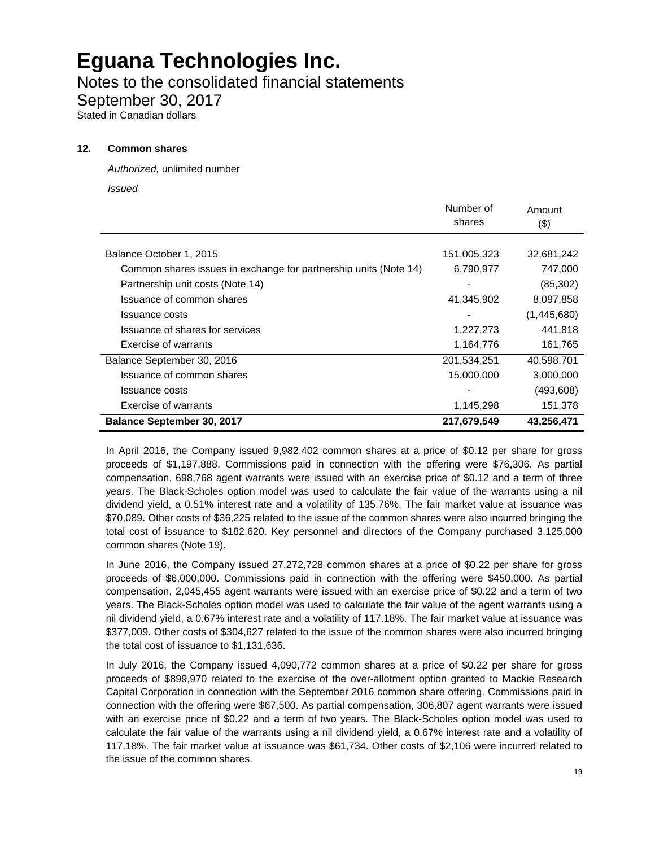Notes to the consolidated financial statements

September 30, 2017

Stated in Canadian dollars

#### **12. Common shares**

*Authorized,* unlimited number

*Issued*

|                                                                  | Number of<br>shares | Amount<br>$($ \$) |
|------------------------------------------------------------------|---------------------|-------------------|
|                                                                  |                     |                   |
| Balance October 1, 2015                                          | 151,005,323         | 32,681,242        |
| Common shares issues in exchange for partnership units (Note 14) | 6,790,977           | 747,000           |
| Partnership unit costs (Note 14)                                 |                     | (85, 302)         |
| Issuance of common shares                                        | 41,345,902          | 8,097,858         |
| Issuance costs                                                   |                     | (1,445,680)       |
| Issuance of shares for services                                  | 1,227,273           | 441,818           |
| Exercise of warrants                                             | 1,164,776           | 161,765           |
| Balance September 30, 2016                                       | 201,534,251         | 40,598,701        |
| Issuance of common shares                                        | 15,000,000          | 3,000,000         |
| Issuance costs                                                   |                     | (493, 608)        |
| Exercise of warrants                                             | 1,145,298           | 151,378           |
| <b>Balance September 30, 2017</b>                                | 217,679,549         | 43,256,471        |

In April 2016, the Company issued 9,982,402 common shares at a price of \$0.12 per share for gross proceeds of \$1,197,888. Commissions paid in connection with the offering were \$76,306. As partial compensation, 698,768 agent warrants were issued with an exercise price of \$0.12 and a term of three years. The Black-Scholes option model was used to calculate the fair value of the warrants using a nil dividend yield, a 0.51% interest rate and a volatility of 135.76%. The fair market value at issuance was \$70,089. Other costs of \$36,225 related to the issue of the common shares were also incurred bringing the total cost of issuance to \$182,620. Key personnel and directors of the Company purchased 3,125,000 common shares (Note 19).

In June 2016, the Company issued 27,272,728 common shares at a price of \$0.22 per share for gross proceeds of \$6,000,000. Commissions paid in connection with the offering were \$450,000. As partial compensation, 2,045,455 agent warrants were issued with an exercise price of \$0.22 and a term of two years. The Black-Scholes option model was used to calculate the fair value of the agent warrants using a nil dividend yield, a 0.67% interest rate and a volatility of 117.18%. The fair market value at issuance was \$377,009. Other costs of \$304,627 related to the issue of the common shares were also incurred bringing the total cost of issuance to \$1,131,636.

In July 2016, the Company issued 4,090,772 common shares at a price of \$0.22 per share for gross proceeds of \$899,970 related to the exercise of the over-allotment option granted to Mackie Research Capital Corporation in connection with the September 2016 common share offering. Commissions paid in connection with the offering were \$67,500. As partial compensation, 306,807 agent warrants were issued with an exercise price of \$0.22 and a term of two years. The Black-Scholes option model was used to calculate the fair value of the warrants using a nil dividend yield, a 0.67% interest rate and a volatility of 117.18%. The fair market value at issuance was \$61,734. Other costs of \$2,106 were incurred related to the issue of the common shares.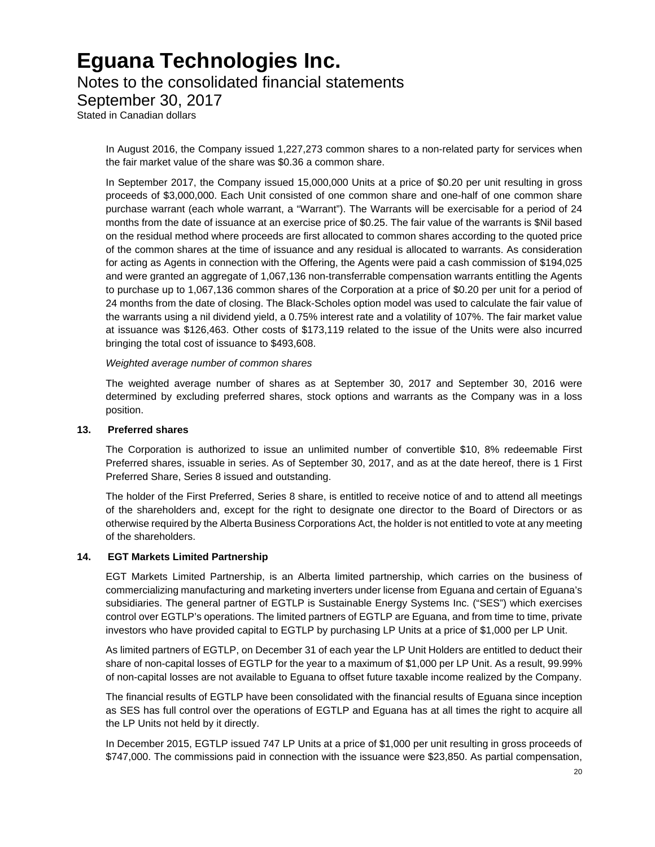### Notes to the consolidated financial statements

September 30, 2017

Stated in Canadian dollars

In August 2016, the Company issued 1,227,273 common shares to a non-related party for services when the fair market value of the share was \$0.36 a common share.

In September 2017, the Company issued 15,000,000 Units at a price of \$0.20 per unit resulting in gross proceeds of \$3,000,000. Each Unit consisted of one common share and one-half of one common share purchase warrant (each whole warrant, a "Warrant"). The Warrants will be exercisable for a period of 24 months from the date of issuance at an exercise price of \$0.25. The fair value of the warrants is \$Nil based on the residual method where proceeds are first allocated to common shares according to the quoted price of the common shares at the time of issuance and any residual is allocated to warrants. As consideration for acting as Agents in connection with the Offering, the Agents were paid a cash commission of \$194,025 and were granted an aggregate of 1,067,136 non-transferrable compensation warrants entitling the Agents to purchase up to 1,067,136 common shares of the Corporation at a price of \$0.20 per unit for a period of 24 months from the date of closing. The Black-Scholes option model was used to calculate the fair value of the warrants using a nil dividend yield, a 0.75% interest rate and a volatility of 107%. The fair market value at issuance was \$126,463. Other costs of \$173,119 related to the issue of the Units were also incurred bringing the total cost of issuance to \$493,608.

*Weighted average number of common shares* 

The weighted average number of shares as at September 30, 2017 and September 30, 2016 were determined by excluding preferred shares, stock options and warrants as the Company was in a loss position.

### **13. Preferred shares**

The Corporation is authorized to issue an unlimited number of convertible \$10, 8% redeemable First Preferred shares, issuable in series. As of September 30, 2017, and as at the date hereof, there is 1 First Preferred Share, Series 8 issued and outstanding.

The holder of the First Preferred, Series 8 share, is entitled to receive notice of and to attend all meetings of the shareholders and, except for the right to designate one director to the Board of Directors or as otherwise required by the Alberta Business Corporations Act, the holder is not entitled to vote at any meeting of the shareholders.

### **14. EGT Markets Limited Partnership**

EGT Markets Limited Partnership, is an Alberta limited partnership, which carries on the business of commercializing manufacturing and marketing inverters under license from Eguana and certain of Eguana's subsidiaries. The general partner of EGTLP is Sustainable Energy Systems Inc. ("SES") which exercises control over EGTLP's operations. The limited partners of EGTLP are Eguana, and from time to time, private investors who have provided capital to EGTLP by purchasing LP Units at a price of \$1,000 per LP Unit.

As limited partners of EGTLP, on December 31 of each year the LP Unit Holders are entitled to deduct their share of non-capital losses of EGTLP for the year to a maximum of \$1,000 per LP Unit. As a result, 99.99% of non-capital losses are not available to Eguana to offset future taxable income realized by the Company.

The financial results of EGTLP have been consolidated with the financial results of Eguana since inception as SES has full control over the operations of EGTLP and Eguana has at all times the right to acquire all the LP Units not held by it directly.

In December 2015, EGTLP issued 747 LP Units at a price of \$1,000 per unit resulting in gross proceeds of \$747,000. The commissions paid in connection with the issuance were \$23,850. As partial compensation,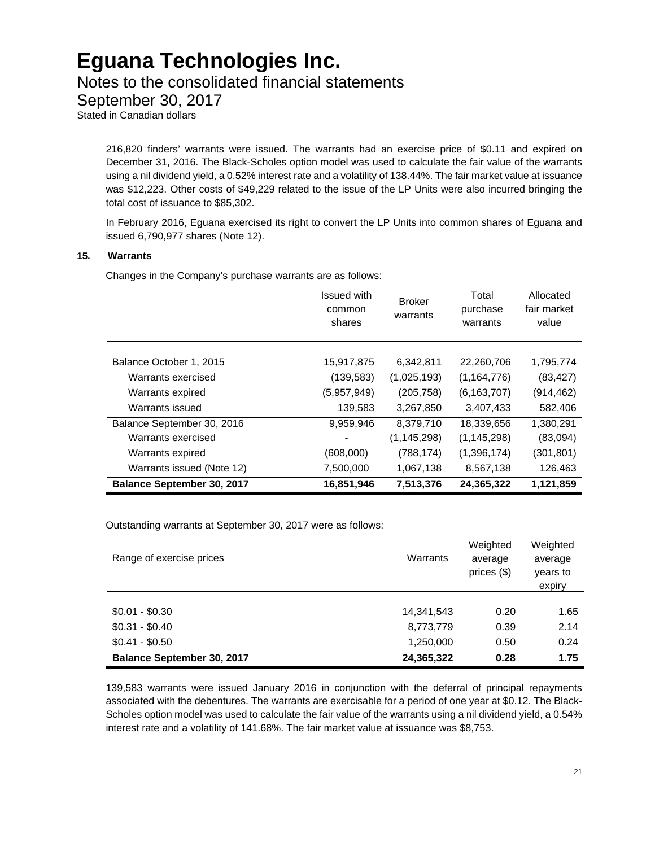### Notes to the consolidated financial statements

September 30, 2017

Stated in Canadian dollars

216,820 finders' warrants were issued. The warrants had an exercise price of \$0.11 and expired on December 31, 2016. The Black-Scholes option model was used to calculate the fair value of the warrants using a nil dividend yield, a 0.52% interest rate and a volatility of 138.44%. The fair market value at issuance was \$12,223. Other costs of \$49,229 related to the issue of the LP Units were also incurred bringing the total cost of issuance to \$85,302.

In February 2016, Eguana exercised its right to convert the LP Units into common shares of Eguana and issued 6,790,977 shares (Note 12).

### **15. Warrants**

Changes in the Company's purchase warrants are as follows:

|                                   | Issued with<br>common<br>shares | <b>Broker</b><br>warrants | Total<br>purchase<br>warrants | Allocated<br>fair market<br>value |
|-----------------------------------|---------------------------------|---------------------------|-------------------------------|-----------------------------------|
| Balance October 1, 2015           | 15,917,875                      | 6,342,811                 | 22,260,706                    | 1,795,774                         |
| Warrants exercised                | (139,583)                       | (1,025,193)               | (1, 164, 776)                 | (83, 427)                         |
| Warrants expired                  | (5,957,949)                     | (205, 758)                | (6, 163, 707)                 | (914,462)                         |
| Warrants issued                   | 139,583                         | 3,267,850                 | 3,407,433                     | 582,406                           |
| Balance September 30, 2016        | 9,959,946                       | 8,379,710                 | 18,339,656                    | 1,380,291                         |
| Warrants exercised                |                                 | (1, 145, 298)             | (1, 145, 298)                 | (83,094)                          |
| Warrants expired                  | (608,000)                       | (788, 174)                | (1, 396, 174)                 | (301, 801)                        |
| Warrants issued (Note 12)         | 7,500,000                       | 1,067,138                 | 8,567,138                     | 126,463                           |
| <b>Balance September 30, 2017</b> | 16,851,946                      | 7,513,376                 | 24.365.322                    | 1.121.859                         |

Outstanding warrants at September 30, 2017 were as follows:

| Range of exercise prices          | Warrants   | Weighted<br>average<br>prices $(\$)$ | Weighted<br>average<br>years to<br>expiry |
|-----------------------------------|------------|--------------------------------------|-------------------------------------------|
|                                   |            |                                      |                                           |
| $$0.01 - $0.30$                   | 14,341,543 | 0.20                                 | 1.65                                      |
| $$0.31 - $0.40$                   | 8,773,779  | 0.39                                 | 2.14                                      |
| $$0.41 - $0.50$                   | 1,250,000  | 0.50                                 | 0.24                                      |
| <b>Balance September 30, 2017</b> | 24,365,322 | 0.28                                 | 1.75                                      |

139,583 warrants were issued January 2016 in conjunction with the deferral of principal repayments associated with the debentures. The warrants are exercisable for a period of one year at \$0.12. The Black-Scholes option model was used to calculate the fair value of the warrants using a nil dividend yield, a 0.54% interest rate and a volatility of 141.68%. The fair market value at issuance was \$8,753.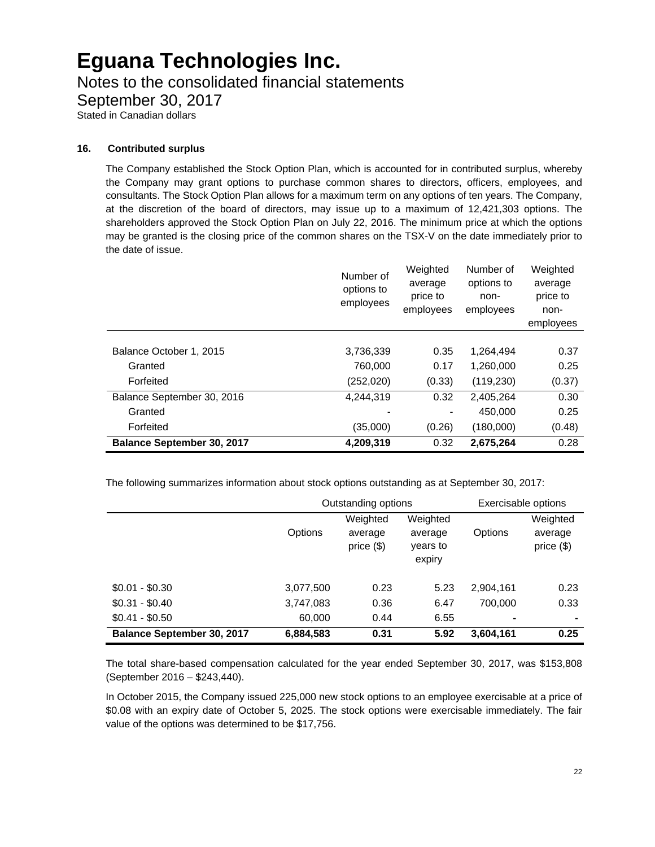Notes to the consolidated financial statements

September 30, 2017

Stated in Canadian dollars

#### **16. Contributed surplus**

The Company established the Stock Option Plan, which is accounted for in contributed surplus, whereby the Company may grant options to purchase common shares to directors, officers, employees, and consultants. The Stock Option Plan allows for a maximum term on any options of ten years. The Company, at the discretion of the board of directors, may issue up to a maximum of 12,421,303 options. The shareholders approved the Stock Option Plan on July 22, 2016. The minimum price at which the options may be granted is the closing price of the common shares on the TSX-V on the date immediately prior to the date of issue.

|                                   | Number of<br>options to<br>employees | Weighted<br>average<br>price to<br>employees | Number of<br>options to<br>non-<br>employees | Weighted<br>average<br>price to<br>non-<br>employees |
|-----------------------------------|--------------------------------------|----------------------------------------------|----------------------------------------------|------------------------------------------------------|
|                                   |                                      |                                              |                                              |                                                      |
| Balance October 1, 2015           | 3,736,339                            | 0.35                                         | 1,264,494                                    | 0.37                                                 |
| Granted                           | 760,000                              | 0.17                                         | 1,260,000                                    | 0.25                                                 |
| Forfeited                         | (252,020)                            | (0.33)                                       | (119, 230)                                   | (0.37)                                               |
| Balance September 30, 2016        | 4,244,319                            | 0.32                                         | 2.405.264                                    | 0.30                                                 |
| Granted                           |                                      |                                              | 450.000                                      | 0.25                                                 |
| Forfeited                         | (35,000)                             | (0.26)                                       | (180,000)                                    | (0.48)                                               |
| <b>Balance September 30, 2017</b> | 4,209,319                            | 0.32                                         | 2,675,264                                    | 0.28                                                 |

The following summarizes information about stock options outstanding as at September 30, 2017:

|                                   | Outstanding options |                                        |                                           | Exercisable options |                                     |
|-----------------------------------|---------------------|----------------------------------------|-------------------------------------------|---------------------|-------------------------------------|
|                                   | Options             | Weighted<br>average<br>price $($ math) | Weighted<br>average<br>years to<br>expiry | Options             | Weighted<br>average<br>price $(\$)$ |
| $$0.01 - $0.30$                   | 3,077,500           | 0.23                                   | 5.23                                      | 2,904,161           | 0.23                                |
| $$0.31 - $0.40$                   | 3,747,083           | 0.36                                   | 6.47                                      | 700.000             | 0.33                                |
| $$0.41 - $0.50$                   | 60,000              | 0.44                                   | 6.55                                      | ۰                   | ۰                                   |
| <b>Balance September 30, 2017</b> | 6,884,583           | 0.31                                   | 5.92                                      | 3,604,161           | 0.25                                |

The total share-based compensation calculated for the year ended September 30, 2017, was \$153,808 (September 2016 – \$243,440).

In October 2015, the Company issued 225,000 new stock options to an employee exercisable at a price of \$0.08 with an expiry date of October 5, 2025. The stock options were exercisable immediately. The fair value of the options was determined to be \$17,756.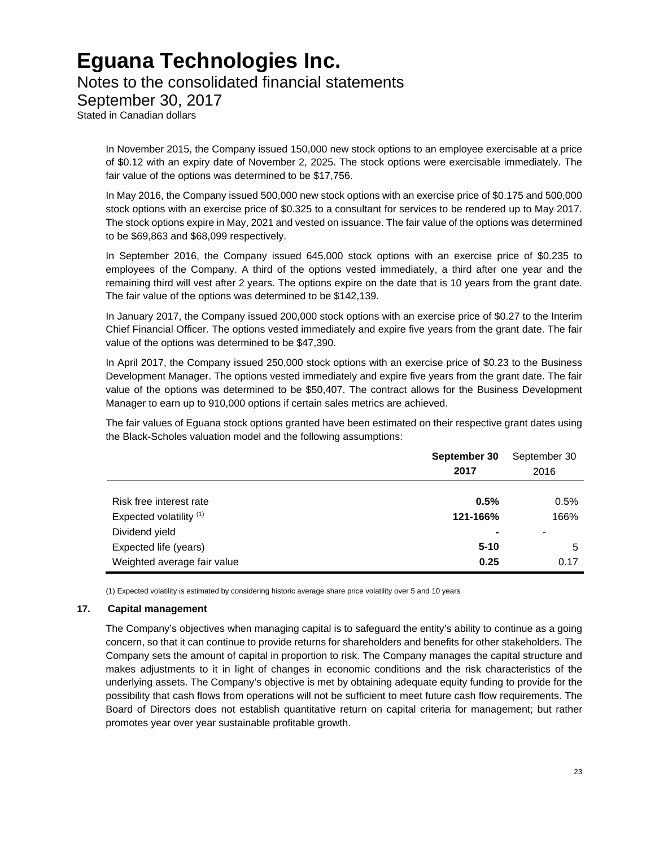### Notes to the consolidated financial statements

September 30, 2017

Stated in Canadian dollars

In November 2015, the Company issued 150,000 new stock options to an employee exercisable at a price of \$0.12 with an expiry date of November 2, 2025. The stock options were exercisable immediately. The fair value of the options was determined to be \$17,756.

In May 2016, the Company issued 500,000 new stock options with an exercise price of \$0.175 and 500,000 stock options with an exercise price of \$0.325 to a consultant for services to be rendered up to May 2017. The stock options expire in May, 2021 and vested on issuance. The fair value of the options was determined to be \$69,863 and \$68,099 respectively.

In September 2016, the Company issued 645,000 stock options with an exercise price of \$0.235 to employees of the Company. A third of the options vested immediately, a third after one year and the remaining third will vest after 2 years. The options expire on the date that is 10 years from the grant date. The fair value of the options was determined to be \$142,139.

In January 2017, the Company issued 200,000 stock options with an exercise price of \$0.27 to the Interim Chief Financial Officer. The options vested immediately and expire five years from the grant date. The fair value of the options was determined to be \$47,390.

In April 2017, the Company issued 250,000 stock options with an exercise price of \$0.23 to the Business Development Manager. The options vested immediately and expire five years from the grant date. The fair value of the options was determined to be \$50,407. The contract allows for the Business Development Manager to earn up to 910,000 options if certain sales metrics are achieved.

The fair values of Eguana stock options granted have been estimated on their respective grant dates using the Black-Scholes valuation model and the following assumptions:

|                                    | September 30 | September 30 |
|------------------------------------|--------------|--------------|
|                                    | 2017         | 2016         |
|                                    |              |              |
| Risk free interest rate            | 0.5%         | 0.5%         |
| Expected volatility <sup>(1)</sup> | 121-166%     | 166%         |
| Dividend yield                     |              | ۰            |
| Expected life (years)              | $5 - 10$     | 5            |
| Weighted average fair value        | 0.25         | 0.17         |

(1) Expected volatility is estimated by considering historic average share price volatility over 5 and 10 years

#### **17. Capital management**

The Company's objectives when managing capital is to safeguard the entity's ability to continue as a going concern, so that it can continue to provide returns for shareholders and benefits for other stakeholders. The Company sets the amount of capital in proportion to risk. The Company manages the capital structure and makes adjustments to it in light of changes in economic conditions and the risk characteristics of the underlying assets. The Company's objective is met by obtaining adequate equity funding to provide for the possibility that cash flows from operations will not be sufficient to meet future cash flow requirements. The Board of Directors does not establish quantitative return on capital criteria for management; but rather promotes year over year sustainable profitable growth.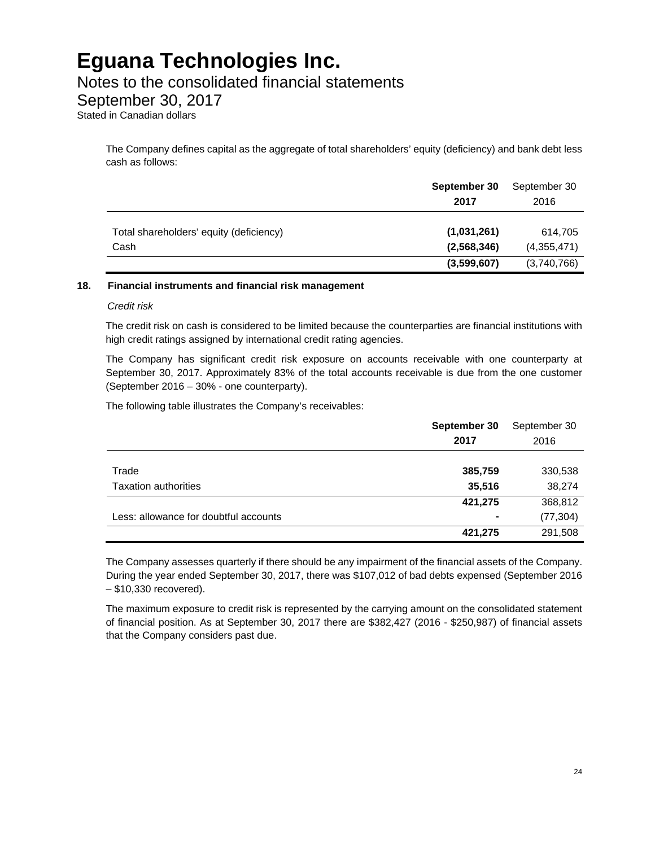### Notes to the consolidated financial statements

### September 30, 2017

Stated in Canadian dollars

The Company defines capital as the aggregate of total shareholders' equity (deficiency) and bank debt less cash as follows:

|                                         | September 30<br>2017 | September 30<br>2016 |
|-----------------------------------------|----------------------|----------------------|
| Total shareholders' equity (deficiency) | (1,031,261)          | 614,705              |
| Cash                                    | (2,568,346)          | (4,355,471)          |
|                                         | (3,599,607)          | (3,740,766)          |

#### **18. Financial instruments and financial risk management**

#### *Credit risk*

The credit risk on cash is considered to be limited because the counterparties are financial institutions with high credit ratings assigned by international credit rating agencies.

The Company has significant credit risk exposure on accounts receivable with one counterparty at September 30, 2017. Approximately 83% of the total accounts receivable is due from the one customer (September 2016 – 30% - one counterparty).

The following table illustrates the Company's receivables:

|                                       | September 30 | September 30 |
|---------------------------------------|--------------|--------------|
|                                       | 2017         | 2016         |
|                                       |              |              |
| Trade                                 | 385,759      | 330,538      |
| <b>Taxation authorities</b>           | 35,516       | 38,274       |
|                                       | 421,275      | 368,812      |
| Less: allowance for doubtful accounts | -            | (77, 304)    |
|                                       | 421,275      | 291,508      |

The Company assesses quarterly if there should be any impairment of the financial assets of the Company. During the year ended September 30, 2017, there was \$107,012 of bad debts expensed (September 2016 – \$10,330 recovered).

The maximum exposure to credit risk is represented by the carrying amount on the consolidated statement of financial position. As at September 30, 2017 there are \$382,427 (2016 - \$250,987) of financial assets that the Company considers past due.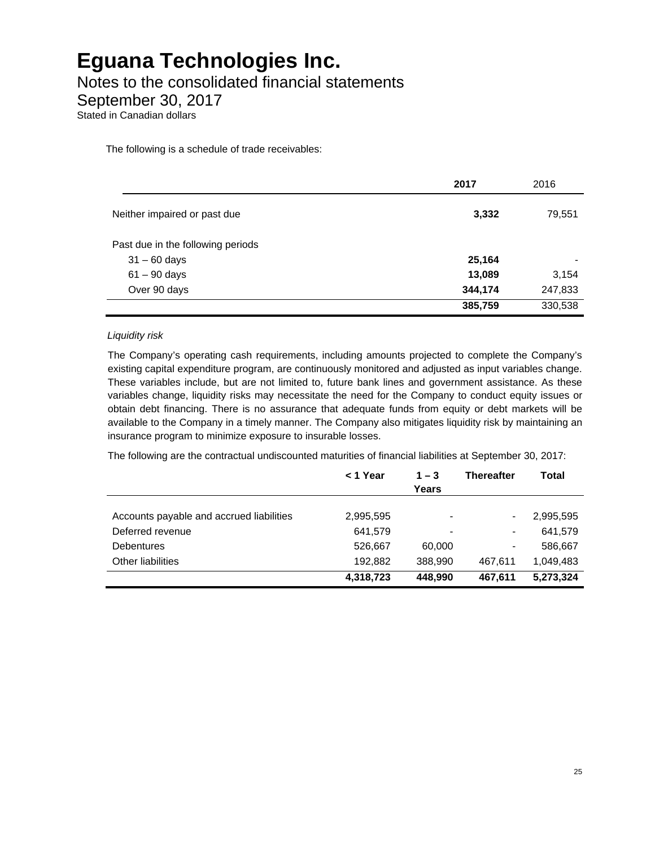Notes to the consolidated financial statements

September 30, 2017

Stated in Canadian dollars

The following is a schedule of trade receivables:

|                                   | 2017    | 2016    |
|-----------------------------------|---------|---------|
| Neither impaired or past due      | 3,332   | 79,551  |
| Past due in the following periods |         |         |
| $31 - 60$ days                    | 25,164  |         |
| $61 - 90$ days                    | 13,089  | 3,154   |
| Over 90 days                      | 344,174 | 247,833 |
|                                   | 385,759 | 330,538 |

### *Liquidity risk*

The Company's operating cash requirements, including amounts projected to complete the Company's existing capital expenditure program, are continuously monitored and adjusted as input variables change. These variables include, but are not limited to, future bank lines and government assistance. As these variables change, liquidity risks may necessitate the need for the Company to conduct equity issues or obtain debt financing. There is no assurance that adequate funds from equity or debt markets will be available to the Company in a timely manner. The Company also mitigates liquidity risk by maintaining an insurance program to minimize exposure to insurable losses.

The following are the contractual undiscounted maturities of financial liabilities at September 30, 2017:

|                                          | < 1 Year  | $1 - 3$<br>Years | Thereafter | Total     |
|------------------------------------------|-----------|------------------|------------|-----------|
|                                          |           |                  |            |           |
| Accounts payable and accrued liabilities | 2,995,595 |                  |            | 2,995,595 |
| Deferred revenue                         | 641,579   |                  |            | 641,579   |
| <b>Debentures</b>                        | 526,667   | 60,000           | ٠          | 586,667   |
| Other liabilities                        | 192,882   | 388.990          | 467.611    | 1,049,483 |
|                                          | 4,318,723 | 448.990          | 467.611    | 5,273,324 |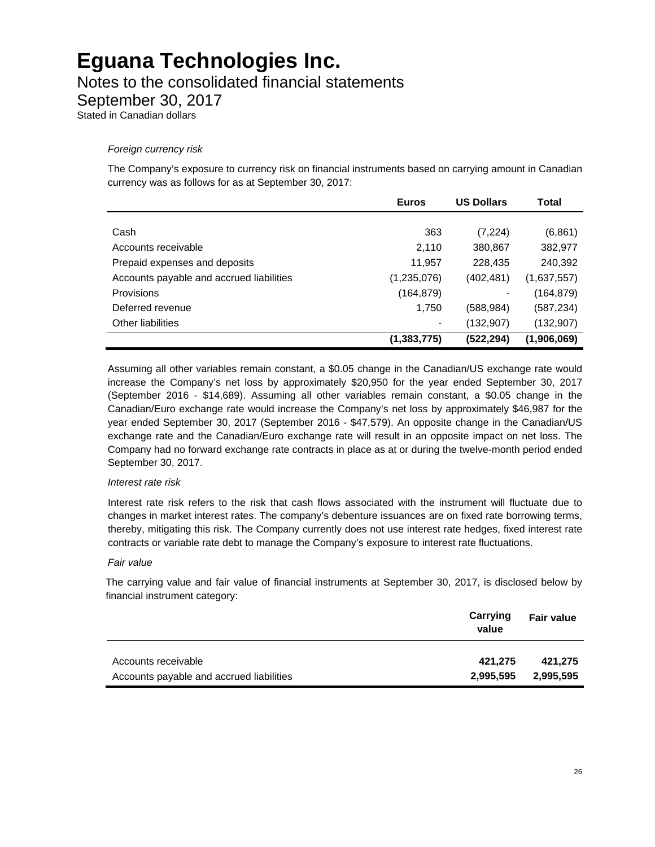### Notes to the consolidated financial statements

September 30, 2017

Stated in Canadian dollars

### *Foreign currency risk*

The Company's exposure to currency risk on financial instruments based on carrying amount in Canadian currency was as follows for as at September 30, 2017:

|                                          | <b>Euros</b>                                                                                                                                      | <b>US Dollars</b> | Total       |
|------------------------------------------|---------------------------------------------------------------------------------------------------------------------------------------------------|-------------------|-------------|
|                                          |                                                                                                                                                   |                   |             |
| Cash                                     | 363                                                                                                                                               | (7, 224)          | (6,861)     |
| Accounts receivable                      | 2,110                                                                                                                                             | 380,867           | 382,977     |
| Prepaid expenses and deposits            | 11,957                                                                                                                                            | 228,435           | 240,392     |
| Accounts payable and accrued liabilities | (1,235,076)                                                                                                                                       | (402,481)         | (1,637,557) |
| <b>Provisions</b>                        | (164, 879)                                                                                                                                        |                   | (164,879)   |
| Deferred revenue                         | 1,750                                                                                                                                             | (588,984)         | (587,234)   |
| Other liabilities                        | $\hskip1.6pt\hskip1.6pt\hskip1.6pt\hskip1.6pt\hskip1.6pt\hskip1.6pt\hskip1.6pt\hskip1.6pt\hskip1.6pt\hskip1.6pt\hskip1.6pt\hskip1.6pt\hskip1.6pt$ | (132,907)         | (132, 907)  |
|                                          | (1, 383, 775)                                                                                                                                     | (522,294)         | (1,906,069) |

Assuming all other variables remain constant, a \$0.05 change in the Canadian/US exchange rate would increase the Company's net loss by approximately \$20,950 for the year ended September 30, 2017 (September 2016 - \$14,689). Assuming all other variables remain constant, a \$0.05 change in the Canadian/Euro exchange rate would increase the Company's net loss by approximately \$46,987 for the year ended September 30, 2017 (September 2016 - \$47,579). An opposite change in the Canadian/US exchange rate and the Canadian/Euro exchange rate will result in an opposite impact on net loss. The Company had no forward exchange rate contracts in place as at or during the twelve-month period ended September 30, 2017.

#### *Interest rate risk*

Interest rate risk refers to the risk that cash flows associated with the instrument will fluctuate due to changes in market interest rates. The company's debenture issuances are on fixed rate borrowing terms, thereby, mitigating this risk. The Company currently does not use interest rate hedges, fixed interest rate contracts or variable rate debt to manage the Company's exposure to interest rate fluctuations.

#### *Fair value*

The carrying value and fair value of financial instruments at September 30, 2017, is disclosed below by financial instrument category:

|                                          | Carrying<br>value | <b>Fair value</b> |
|------------------------------------------|-------------------|-------------------|
| Accounts receivable                      | 421.275           | 421.275           |
| Accounts payable and accrued liabilities | 2,995,595         | 2,995,595         |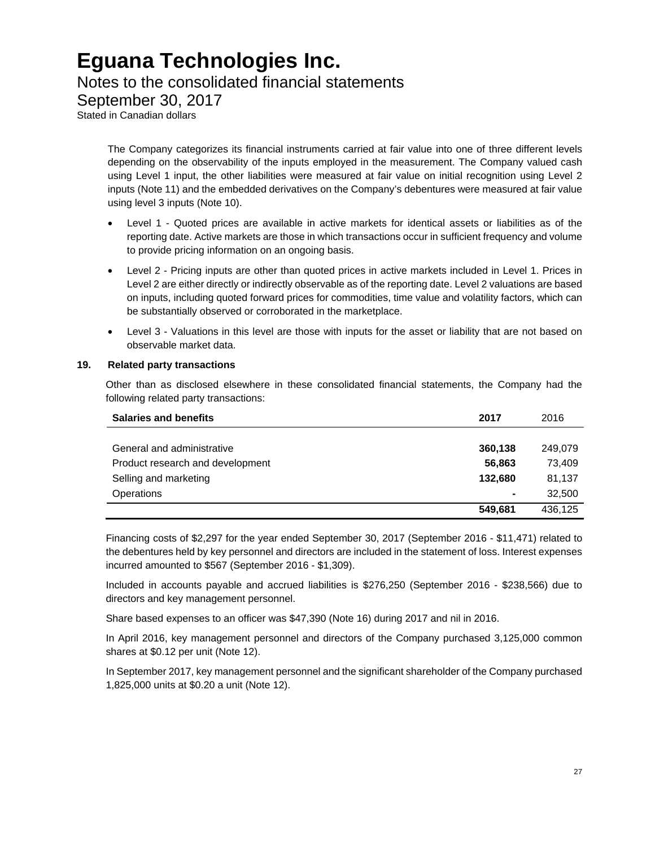### Notes to the consolidated financial statements

September 30, 2017

Stated in Canadian dollars

The Company categorizes its financial instruments carried at fair value into one of three different levels depending on the observability of the inputs employed in the measurement. The Company valued cash using Level 1 input, the other liabilities were measured at fair value on initial recognition using Level 2 inputs (Note 11) and the embedded derivatives on the Company's debentures were measured at fair value using level 3 inputs (Note 10).

- Level 1 Quoted prices are available in active markets for identical assets or liabilities as of the reporting date. Active markets are those in which transactions occur in sufficient frequency and volume to provide pricing information on an ongoing basis.
- Level 2 Pricing inputs are other than quoted prices in active markets included in Level 1. Prices in Level 2 are either directly or indirectly observable as of the reporting date. Level 2 valuations are based on inputs, including quoted forward prices for commodities, time value and volatility factors, which can be substantially observed or corroborated in the marketplace.
- Level 3 Valuations in this level are those with inputs for the asset or liability that are not based on observable market data.

### **19. Related party transactions**

Other than as disclosed elsewhere in these consolidated financial statements, the Company had the following related party transactions:

| <b>Salaries and benefits</b>     | 2017    | 2016    |
|----------------------------------|---------|---------|
|                                  |         |         |
| General and administrative       | 360,138 | 249,079 |
| Product research and development | 56.863  | 73.409  |
| Selling and marketing            | 132.680 | 81,137  |
| Operations                       | ۰       | 32,500  |
|                                  | 549.681 | 436.125 |

Financing costs of \$2,297 for the year ended September 30, 2017 (September 2016 - \$11,471) related to the debentures held by key personnel and directors are included in the statement of loss. Interest expenses incurred amounted to \$567 (September 2016 - \$1,309).

Included in accounts payable and accrued liabilities is \$276,250 (September 2016 - \$238,566) due to directors and key management personnel.

Share based expenses to an officer was \$47,390 (Note 16) during 2017 and nil in 2016.

In April 2016, key management personnel and directors of the Company purchased 3,125,000 common shares at \$0.12 per unit (Note 12).

In September 2017, key management personnel and the significant shareholder of the Company purchased 1,825,000 units at \$0.20 a unit (Note 12).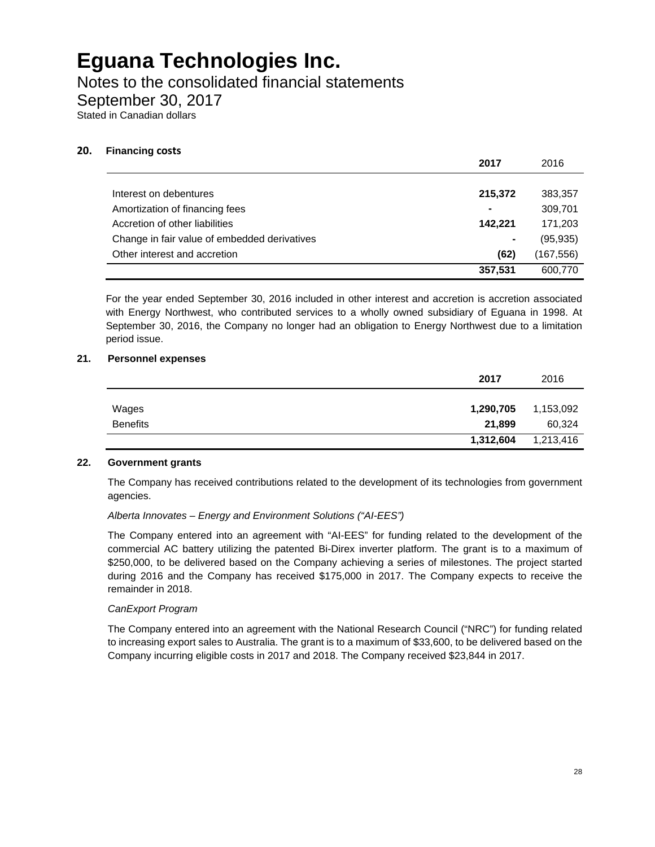Notes to the consolidated financial statements

September 30, 2017

Stated in Canadian dollars

### **20. Financing costs**

|                                              | 2017    | 2016       |
|----------------------------------------------|---------|------------|
|                                              |         |            |
| Interest on debentures                       | 215,372 | 383,357    |
| Amortization of financing fees               | ۰       | 309,701    |
| Accretion of other liabilities               | 142,221 | 171,203    |
| Change in fair value of embedded derivatives | ۰       | (95, 935)  |
| Other interest and accretion                 | (62)    | (167, 556) |
|                                              | 357,531 | 600,770    |

For the year ended September 30, 2016 included in other interest and accretion is accretion associated with Energy Northwest, who contributed services to a wholly owned subsidiary of Eguana in 1998. At September 30, 2016, the Company no longer had an obligation to Energy Northwest due to a limitation period issue.

### **21. Personnel expenses**

|                 | 2017      | 2016      |
|-----------------|-----------|-----------|
|                 |           |           |
| Wages           | 1,290,705 | 1,153,092 |
| <b>Benefits</b> | 21,899    | 60,324    |
|                 | 1,312,604 | 1,213,416 |

#### **22. Government grants**

The Company has received contributions related to the development of its technologies from government agencies.

### *Alberta Innovates – Energy and Environment Solutions ("AI-EES")*

The Company entered into an agreement with "AI-EES" for funding related to the development of the commercial AC battery utilizing the patented Bi-Direx inverter platform. The grant is to a maximum of \$250,000, to be delivered based on the Company achieving a series of milestones. The project started during 2016 and the Company has received \$175,000 in 2017. The Company expects to receive the remainder in 2018.

#### *CanExport Program*

The Company entered into an agreement with the National Research Council ("NRC") for funding related to increasing export sales to Australia. The grant is to a maximum of \$33,600, to be delivered based on the Company incurring eligible costs in 2017 and 2018. The Company received \$23,844 in 2017.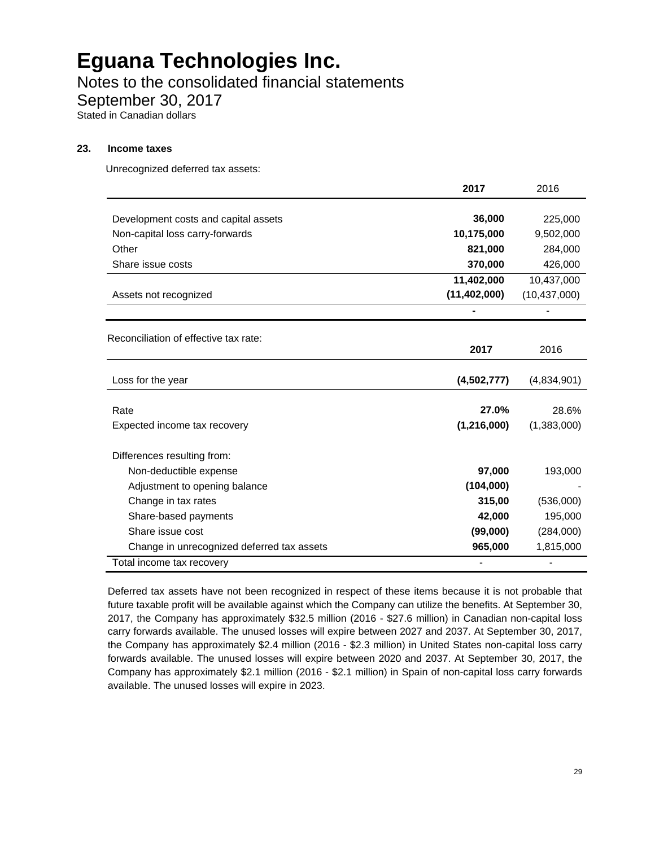Notes to the consolidated financial statements

September 30, 2017

Stated in Canadian dollars

#### **23. Income taxes**

Unrecognized deferred tax assets:

|                                            | 2017           | 2016           |
|--------------------------------------------|----------------|----------------|
|                                            |                |                |
| Development costs and capital assets       | 36,000         | 225,000        |
| Non-capital loss carry-forwards            | 10,175,000     | 9,502,000      |
| Other                                      | 821,000        | 284,000        |
| Share issue costs                          | 370,000        | 426,000        |
|                                            | 11,402,000     | 10,437,000     |
| Assets not recognized                      | (11, 402, 000) | (10, 437, 000) |
|                                            |                |                |
| Reconciliation of effective tax rate:      |                |                |
|                                            | 2017           | 2016           |
|                                            |                |                |
| Loss for the year                          | (4,502,777)    | (4,834,901)    |
| Rate                                       | 27.0%          | 28.6%          |
|                                            | (1,216,000)    | (1,383,000)    |
| Expected income tax recovery               |                |                |
| Differences resulting from:                |                |                |
| Non-deductible expense                     | 97,000         | 193,000        |
| Adjustment to opening balance              | (104,000)      |                |
| Change in tax rates                        | 315,00         | (536,000)      |
| Share-based payments                       | 42,000         | 195,000        |
| Share issue cost                           | (99,000)       | (284,000)      |
| Change in unrecognized deferred tax assets | 965,000        | 1,815,000      |
| Total income tax recovery                  |                |                |

Deferred tax assets have not been recognized in respect of these items because it is not probable that future taxable profit will be available against which the Company can utilize the benefits. At September 30, 2017, the Company has approximately \$32.5 million (2016 - \$27.6 million) in Canadian non-capital loss carry forwards available. The unused losses will expire between 2027 and 2037. At September 30, 2017, the Company has approximately \$2.4 million (2016 - \$2.3 million) in United States non-capital loss carry forwards available. The unused losses will expire between 2020 and 2037. At September 30, 2017, the Company has approximately \$2.1 million (2016 - \$2.1 million) in Spain of non-capital loss carry forwards available. The unused losses will expire in 2023.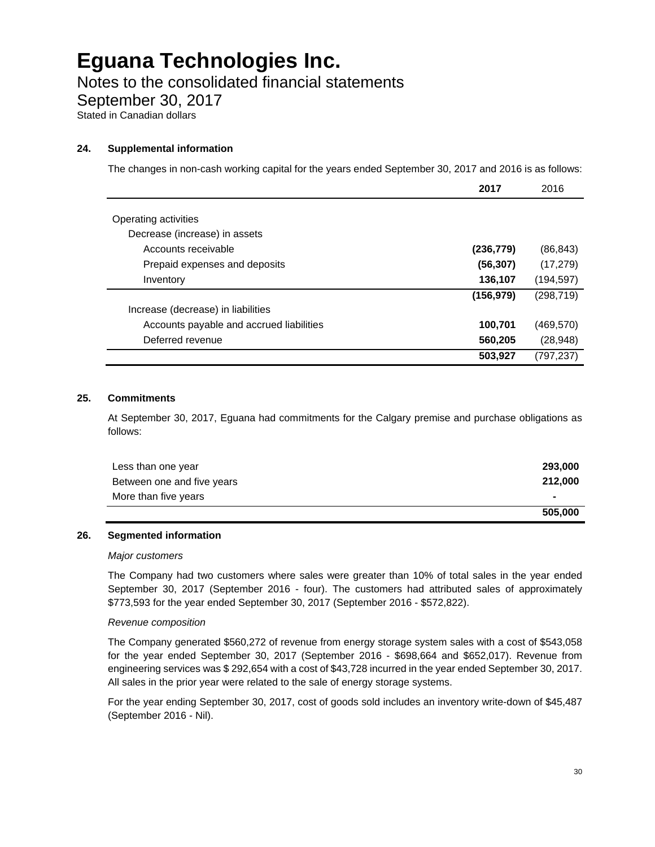### Notes to the consolidated financial statements

September 30, 2017

Stated in Canadian dollars

### **24. Supplemental information**

The changes in non-cash working capital for the years ended September 30, 2017 and 2016 is as follows:

|                                          | 2017       | 2016       |
|------------------------------------------|------------|------------|
|                                          |            |            |
| Operating activities                     |            |            |
| Decrease (increase) in assets            |            |            |
| Accounts receivable                      | (236, 779) | (86, 843)  |
| Prepaid expenses and deposits            | (56, 307)  | (17, 279)  |
| Inventory                                | 136,107    | (194, 597) |
|                                          | (156, 979) | (298, 719) |
| Increase (decrease) in liabilities       |            |            |
| Accounts payable and accrued liabilities | 100,701    | (469, 570) |
| Deferred revenue                         | 560,205    | (28, 948)  |
|                                          | 503,927    | (797, 237) |

#### **25. Commitments**

At September 30, 2017, Eguana had commitments for the Calgary premise and purchase obligations as follows:

| Less than one year         | 293,000 |
|----------------------------|---------|
| Between one and five years | 212,000 |
| More than five years       | ۰       |
|                            | 505,000 |

#### **26. Segmented information**

#### *Major customers*

The Company had two customers where sales were greater than 10% of total sales in the year ended September 30, 2017 (September 2016 - four). The customers had attributed sales of approximately \$773,593 for the year ended September 30, 2017 (September 2016 - \$572,822).

#### *Revenue composition*

The Company generated \$560,272 of revenue from energy storage system sales with a cost of \$543,058 for the year ended September 30, 2017 (September 2016 - \$698,664 and \$652,017). Revenue from engineering services was \$ 292,654 with a cost of \$43,728 incurred in the year ended September 30, 2017. All sales in the prior year were related to the sale of energy storage systems.

For the year ending September 30, 2017, cost of goods sold includes an inventory write-down of \$45,487 (September 2016 - Nil).